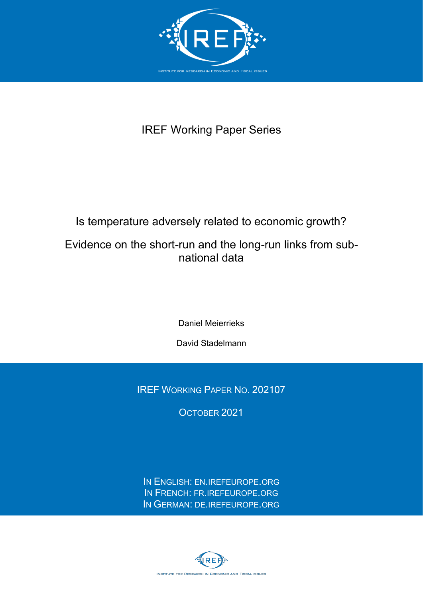

# IREF Working Paper Series

# Is temperature adversely related to economic growth?

## Evidence on the short-run and the long-run links from subnational data

Daniel Meierrieks

David Stadelmann

IREF WORKING PAPER NO. 202107

OCTOBER 2021

IN ENGLISH: [EN.IREFEUROPE.ORG](http://en.irefeurope.org/) IN FRENCH: [FR.IREFEUROPE.ORG](http://fr.irefeurope.org/) IN GERMAN: [DE.IREFEUROPE.ORG](http://de.irefeurope.org/)

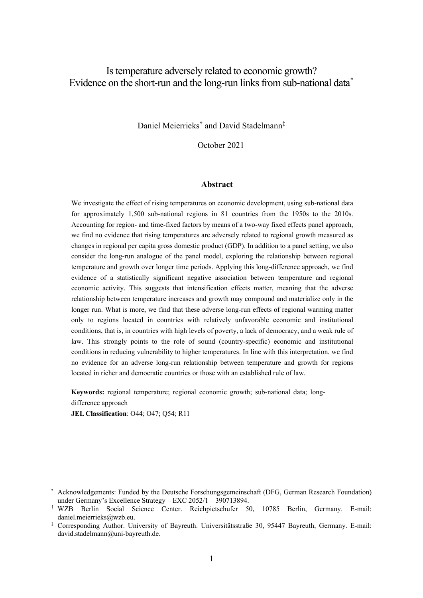## Is temperature adversely related to economic growth? Evidence on the short-run and the long-run links from sub-national dat[a\\*](#page-1-0)

Daniel Meierrieks[†](#page-1-1) and David Stadelmann‡

October 2021

#### **Abstract**

We investigate the effect of rising temperatures on economic development, using sub-national data for approximately 1,500 sub-national regions in 81 countries from the 1950s to the 2010s. Accounting for region- and time-fixed factors by means of a two-way fixed effects panel approach, we find no evidence that rising temperatures are adversely related to regional growth measured as changes in regional per capita gross domestic product (GDP). In addition to a panel setting, we also consider the long-run analogue of the panel model, exploring the relationship between regional temperature and growth over longer time periods. Applying this long-difference approach, we find evidence of a statistically significant negative association between temperature and regional economic activity. This suggests that intensification effects matter, meaning that the adverse relationship between temperature increases and growth may compound and materialize only in the longer run. What is more, we find that these adverse long-run effects of regional warming matter only to regions located in countries with relatively unfavorable economic and institutional conditions, that is, in countries with high levels of poverty, a lack of democracy, and a weak rule of law. This strongly points to the role of sound (country-specific) economic and institutional conditions in reducing vulnerability to higher temperatures. In line with this interpretation, we find no evidence for an adverse long-run relationship between temperature and growth for regions located in richer and democratic countries or those with an established rule of law.

**Keywords:** regional temperature; regional economic growth; sub-national data; longdifference approach

**JEL Classification**: O44; O47; Q54; R11

<span id="page-1-0"></span>Acknowledgements: Funded by the Deutsche Forschungsgemeinschaft (DFG, German Research Foundation) under Germany's Excellence Strategy – EXC 2052/1 – 390713894.

<span id="page-1-1"></span><sup>†</sup> WZB Berlin Social Science Center. Reichpietschufer 50, 10785 Berlin, Germany. E-mail: daniel.meierrieks@wzb.eu.

<sup>‡</sup> Corresponding Author. University of Bayreuth. Universitätsstraße 30, 95447 Bayreuth, Germany. E-mail: david.stadelmann@uni-bayreuth.de.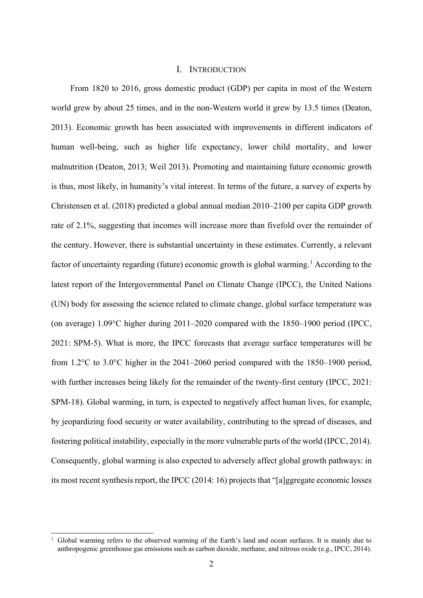## I. INTRODUCTION

From 1820 to 2016, gross domestic product (GDP) per capita in most of the Western world grew by about 25 times, and in the non-Western world it grew by 13.5 times (Deaton, 2013). Economic growth has been associated with improvements in different indicators of human well-being, such as higher life expectancy, lower child mortality, and lower malnutrition (Deaton, 2013; Weil 2013). Promoting and maintaining future economic growth is thus, most likely, in humanity's vital interest. In terms of the future, a survey of experts by Christensen et al. (2018) predicted a global annual median 2010–2100 per capita GDP growth rate of 2.1%, suggesting that incomes will increase more than fivefold over the remainder of the century. However, there is substantial uncertainty in these estimates. Currently, a relevant factor of uncertainty regarding (future) economic growth is global warming.<sup>[1](#page-2-0)</sup> According to the latest report of the Intergovernmental Panel on Climate Change (IPCC), the United Nations (UN) body for assessing the science related to climate change, global surface temperature was (on average) 1.09°C higher during 2011–2020 compared with the 1850–1900 period (IPCC, 2021: SPM-5). What is more, the IPCC forecasts that average surface temperatures will be from 1.2°C to 3.0°C higher in the 2041–2060 period compared with the 1850–1900 period, with further increases being likely for the remainder of the twenty-first century (IPCC, 2021: SPM-18). Global warming, in turn, is expected to negatively affect human lives, for example, by jeopardizing food security or water availability, contributing to the spread of diseases, and fostering political instability, especially in the more vulnerable parts of the world (IPCC, 2014). Consequently, global warming is also expected to adversely affect global growth pathways: in its most recent synthesis report, the IPCC (2014: 16) projects that "[a]ggregate economic losses

<span id="page-2-0"></span><sup>1</sup> Global warming refers to the observed warming of the Earth's land and ocean surfaces. It is mainly due to anthropogenic greenhouse gas emissions such as carbon dioxide, methane, and nitrous oxide (e.g., IPCC, 2014).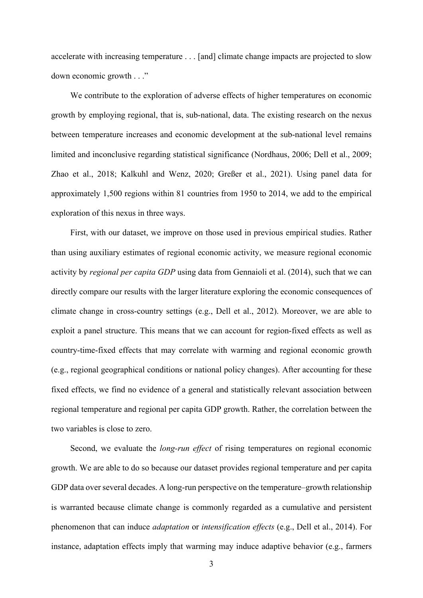accelerate with increasing temperature . . . [and] climate change impacts are projected to slow down economic growth . . ."

We contribute to the exploration of adverse effects of higher temperatures on economic growth by employing regional, that is, sub-national, data. The existing research on the nexus between temperature increases and economic development at the sub-national level remains limited and inconclusive regarding statistical significance (Nordhaus, 2006; Dell et al., 2009; Zhao et al., 2018; Kalkuhl and Wenz, 2020; Greßer et al., 2021). Using panel data for approximately 1,500 regions within 81 countries from 1950 to 2014, we add to the empirical exploration of this nexus in three ways.

First, with our dataset, we improve on those used in previous empirical studies. Rather than using auxiliary estimates of regional economic activity, we measure regional economic activity by *regional per capita GDP* using data from Gennaioli et al. (2014), such that we can directly compare our results with the larger literature exploring the economic consequences of climate change in cross-country settings (e.g., Dell et al., 2012). Moreover, we are able to exploit a panel structure. This means that we can account for region-fixed effects as well as country-time-fixed effects that may correlate with warming and regional economic growth (e.g., regional geographical conditions or national policy changes). After accounting for these fixed effects, we find no evidence of a general and statistically relevant association between regional temperature and regional per capita GDP growth. Rather, the correlation between the two variables is close to zero.

Second, we evaluate the *long-run effect* of rising temperatures on regional economic growth. We are able to do so because our dataset provides regional temperature and per capita GDP data over several decades. A long-run perspective on the temperature–growth relationship is warranted because climate change is commonly regarded as a cumulative and persistent phenomenon that can induce *adaptation* or *intensification effects* (e.g., Dell et al., 2014). For instance, adaptation effects imply that warming may induce adaptive behavior (e.g., farmers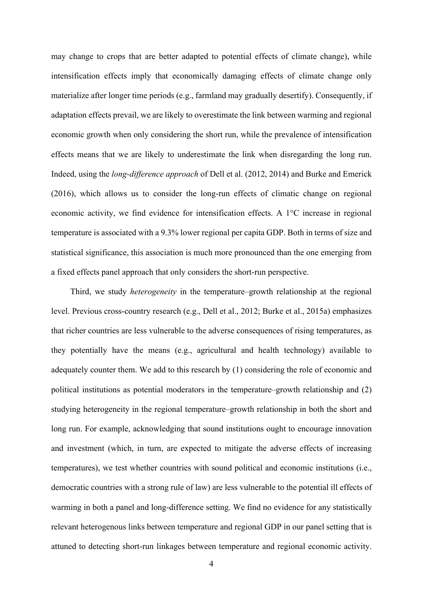may change to crops that are better adapted to potential effects of climate change), while intensification effects imply that economically damaging effects of climate change only materialize after longer time periods (e.g., farmland may gradually desertify). Consequently, if adaptation effects prevail, we are likely to overestimate the link between warming and regional economic growth when only considering the short run, while the prevalence of intensification effects means that we are likely to underestimate the link when disregarding the long run. Indeed, using the *long-difference approach* of Dell et al. (2012, 2014) and Burke and Emerick (2016), which allows us to consider the long-run effects of climatic change on regional economic activity, we find evidence for intensification effects. A 1°C increase in regional temperature is associated with a 9.3% lower regional per capita GDP. Both in terms of size and statistical significance, this association is much more pronounced than the one emerging from a fixed effects panel approach that only considers the short-run perspective.

Third, we study *heterogeneity* in the temperature–growth relationship at the regional level. Previous cross-country research (e.g., Dell et al., 2012; Burke et al., 2015a) emphasizes that richer countries are less vulnerable to the adverse consequences of rising temperatures, as they potentially have the means (e.g., agricultural and health technology) available to adequately counter them. We add to this research by (1) considering the role of economic and political institutions as potential moderators in the temperature–growth relationship and (2) studying heterogeneity in the regional temperature–growth relationship in both the short and long run. For example, acknowledging that sound institutions ought to encourage innovation and investment (which, in turn, are expected to mitigate the adverse effects of increasing temperatures), we test whether countries with sound political and economic institutions (i.e., democratic countries with a strong rule of law) are less vulnerable to the potential ill effects of warming in both a panel and long-difference setting. We find no evidence for any statistically relevant heterogenous links between temperature and regional GDP in our panel setting that is attuned to detecting short-run linkages between temperature and regional economic activity.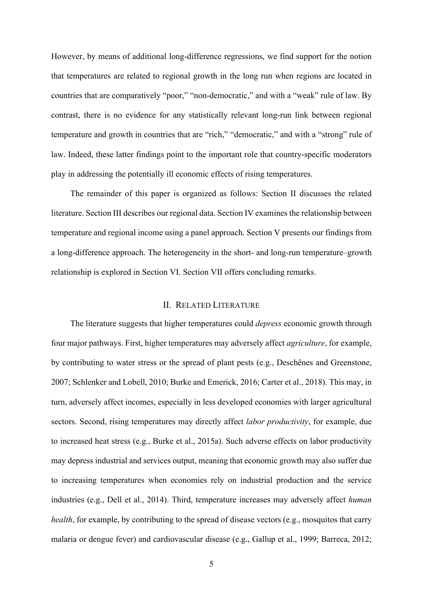However, by means of additional long-difference regressions, we find support for the notion that temperatures are related to regional growth in the long run when regions are located in countries that are comparatively "poor," "non-democratic," and with a "weak" rule of law. By contrast, there is no evidence for any statistically relevant long-run link between regional temperature and growth in countries that are "rich," "democratic," and with a "strong" rule of law. Indeed, these latter findings point to the important role that country-specific moderators play in addressing the potentially ill economic effects of rising temperatures.

The remainder of this paper is organized as follows: Section II discusses the related literature. Section III describes our regional data. Section IV examines the relationship between temperature and regional income using a panel approach. Section V presents our findings from a long-difference approach. The heterogeneity in the short- and long-run temperature–growth relationship is explored in Section VI. Section VII offers concluding remarks.

## II. RELATED LITERATURE

The literature suggests that higher temperatures could *depress* economic growth through four major pathways. First, higher temperatures may adversely affect *agriculture*, for example, by contributing to water stress or the spread of plant pests (e.g., Deschênes and Greenstone, 2007; Schlenker and Lobell, 2010; Burke and Emerick, 2016; Carter et al., 2018). This may, in turn, adversely affect incomes, especially in less developed economies with larger agricultural sectors. Second, rising temperatures may directly affect *labor productivity*, for example, due to increased heat stress (e.g., Burke et al., 2015a). Such adverse effects on labor productivity may depress industrial and services output, meaning that economic growth may also suffer due to increasing temperatures when economies rely on industrial production and the service industries (e.g., Dell et al., 2014). Third, temperature increases may adversely affect *human health*, for example, by contributing to the spread of disease vectors (e.g., mosquitos that carry malaria or dengue fever) and cardiovascular disease (e.g., Gallup et al., 1999; Barreca, 2012;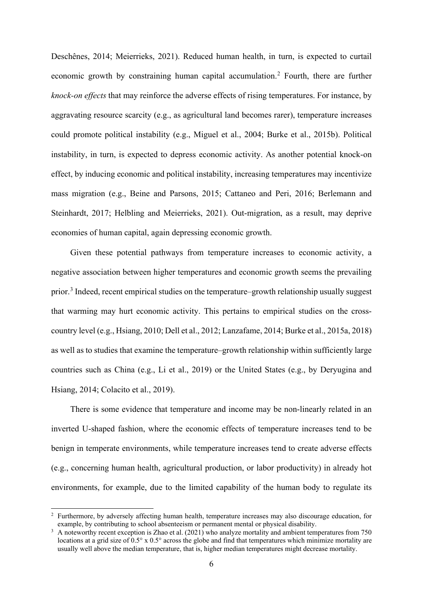Deschênes, 2014; Meierrieks, 2021). Reduced human health, in turn, is expected to curtail economic growth by constraining human capital accumulation.[2](#page-6-0) Fourth, there are further *knock-on effects* that may reinforce the adverse effects of rising temperatures. For instance, by aggravating resource scarcity (e.g., as agricultural land becomes rarer), temperature increases could promote political instability (e.g., Miguel et al., 2004; Burke et al., 2015b). Political instability, in turn, is expected to depress economic activity. As another potential knock-on effect, by inducing economic and political instability, increasing temperatures may incentivize mass migration (e.g., Beine and Parsons, 2015; Cattaneo and Peri, 2016; Berlemann and Steinhardt, 2017; Helbling and Meierrieks, 2021). Out-migration, as a result, may deprive economies of human capital, again depressing economic growth.

Given these potential pathways from temperature increases to economic activity, a negative association between higher temperatures and economic growth seems the prevailing prior.[3](#page-6-1) Indeed, recent empirical studies on the temperature–growth relationship usually suggest that warming may hurt economic activity. This pertains to empirical studies on the crosscountry level (e.g., Hsiang, 2010; Dell et al., 2012; Lanzafame, 2014; Burke et al., 2015a, 2018) as well as to studies that examine the temperature–growth relationship within sufficiently large countries such as China (e.g., Li et al., 2019) or the United States (e.g., by Deryugina and Hsiang, 2014; Colacito et al., 2019).

There is some evidence that temperature and income may be non-linearly related in an inverted U-shaped fashion, where the economic effects of temperature increases tend to be benign in temperate environments, while temperature increases tend to create adverse effects (e.g., concerning human health, agricultural production, or labor productivity) in already hot environments, for example, due to the limited capability of the human body to regulate its

<span id="page-6-0"></span><sup>2</sup> Furthermore, by adversely affecting human health, temperature increases may also discourage education, for example, by contributing to school absenteeism or permanent mental or physical disability.

<span id="page-6-1"></span><sup>&</sup>lt;sup>3</sup> A noteworthy recent exception is Zhao et al. (2021) who analyze mortality and ambient temperatures from 750 locations at a grid size of 0.5° x 0.5° across the globe and find that temperatures which minimize mortality are usually well above the median temperature, that is, higher median temperatures might decrease mortality.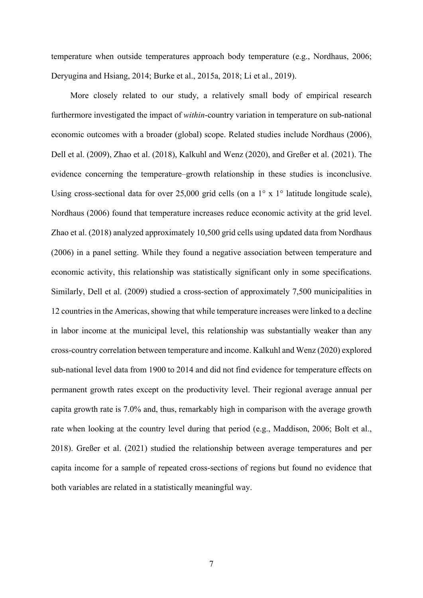temperature when outside temperatures approach body temperature (e.g., Nordhaus, 2006; Deryugina and Hsiang, 2014; Burke et al., 2015a, 2018; Li et al., 2019).

More closely related to our study, a relatively small body of empirical research furthermore investigated the impact of *within*-country variation in temperature on sub-national economic outcomes with a broader (global) scope. Related studies include Nordhaus (2006), Dell et al. (2009), Zhao et al. (2018), Kalkuhl and Wenz (2020), and Greßer et al. (2021). The evidence concerning the temperature–growth relationship in these studies is inconclusive. Using cross-sectional data for over 25,000 grid cells (on a  $1^\circ$  x  $1^\circ$  latitude longitude scale), Nordhaus (2006) found that temperature increases reduce economic activity at the grid level. Zhao et al. (2018) analyzed approximately 10,500 grid cells using updated data from Nordhaus (2006) in a panel setting. While they found a negative association between temperature and economic activity, this relationship was statistically significant only in some specifications. Similarly, Dell et al. (2009) studied a cross-section of approximately 7,500 municipalities in 12 countries in the Americas, showing that while temperature increases were linked to a decline in labor income at the municipal level, this relationship was substantially weaker than any cross-country correlation between temperature and income. Kalkuhl and Wenz (2020) explored sub-national level data from 1900 to 2014 and did not find evidence for temperature effects on permanent growth rates except on the productivity level. Their regional average annual per capita growth rate is 7.0% and, thus, remarkably high in comparison with the average growth rate when looking at the country level during that period (e.g., Maddison, 2006; Bolt et al., 2018). Greßer et al. (2021) studied the relationship between average temperatures and per capita income for a sample of repeated cross-sections of regions but found no evidence that both variables are related in a statistically meaningful way.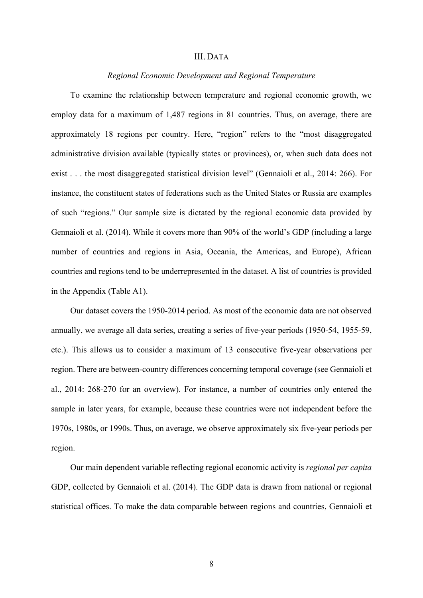## III.DATA

## *Regional Economic Development and Regional Temperature*

To examine the relationship between temperature and regional economic growth, we employ data for a maximum of 1,487 regions in 81 countries. Thus, on average, there are approximately 18 regions per country. Here, "region" refers to the "most disaggregated administrative division available (typically states or provinces), or, when such data does not exist . . . the most disaggregated statistical division level" (Gennaioli et al., 2014: 266). For instance, the constituent states of federations such as the United States or Russia are examples of such "regions." Our sample size is dictated by the regional economic data provided by Gennaioli et al. (2014). While it covers more than 90% of the world's GDP (including a large number of countries and regions in Asia, Oceania, the Americas, and Europe), African countries and regions tend to be underrepresented in the dataset. A list of countries is provided in the Appendix (Table A1).

Our dataset covers the 1950-2014 period. As most of the economic data are not observed annually, we average all data series, creating a series of five-year periods (1950-54, 1955-59, etc.). This allows us to consider a maximum of 13 consecutive five-year observations per region. There are between-country differences concerning temporal coverage (see Gennaioli et al., 2014: 268-270 for an overview). For instance, a number of countries only entered the sample in later years, for example, because these countries were not independent before the 1970s, 1980s, or 1990s. Thus, on average, we observe approximately six five-year periods per region.

Our main dependent variable reflecting regional economic activity is *regional per capita*  GDP, collected by Gennaioli et al. (2014). The GDP data is drawn from national or regional statistical offices. To make the data comparable between regions and countries, Gennaioli et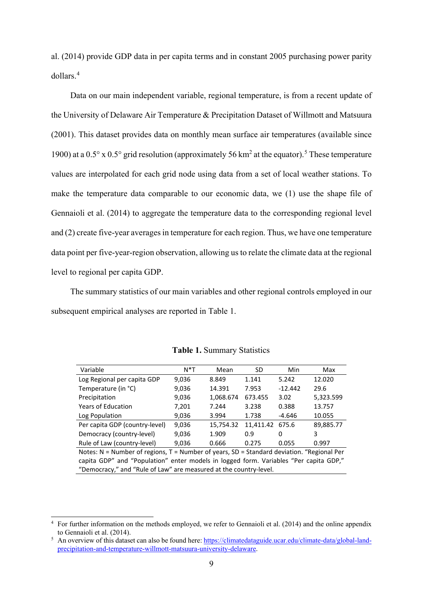al. (2014) provide GDP data in per capita terms and in constant 2005 purchasing power parity dollars.[4](#page-9-0)

Data on our main independent variable, regional temperature, is from a recent update of the University of Delaware Air Temperature & Precipitation Dataset of Willmott and Matsuura (2001). This dataset provides data on monthly mean surface air temperatures (available since 1900) at a  $0.5^{\circ}$  $0.5^{\circ}$  $0.5^{\circ}$  x  $0.5^{\circ}$  grid resolution (approximately 56 km<sup>2</sup> at the equator).<sup>5</sup> These temperature values are interpolated for each grid node using data from a set of local weather stations. To make the temperature data comparable to our economic data, we (1) use the shape file of Gennaioli et al. (2014) to aggregate the temperature data to the corresponding regional level and (2) create five-year averages in temperature for each region. Thus, we have one temperature data point per five-year-region observation, allowing us to relate the climate data at the regional level to regional per capita GDP.

The summary statistics of our main variables and other regional controls employed in our subsequent empirical analyses are reported in Table 1.

| $N^*T$ | Mean      | SD             | Min       | Max       |
|--------|-----------|----------------|-----------|-----------|
| 9.036  | 8.849     | 5.242<br>1.141 |           | 12.020    |
| 9,036  | 14.391    | 7.953          | $-12.442$ | 29.6      |
| 9,036  | 1,068.674 | 673.455        | 3.02      | 5,323.599 |
| 7,201  | 7.244     | 3.238          | 0.388     | 13.757    |
| 9,036  | 3.994     | 1.738          | $-4.646$  | 10.055    |
| 9,036  | 15,754.32 | 11,411.42      | 675.6     | 89,885.77 |
| 9,036  | 1.909     | 0.9            | 0         | 3         |
| 9,036  | 0.666     | 0.275          | 0.055     | 0.997     |
|        |           |                |           |           |

**Table 1.** Summary Statistics

Notes: N = Number of regions, T = Number of years, SD = Standard deviation. "Regional Per capita GDP" and "Population" enter models in logged form. Variables "Per capita GDP," "Democracy," and "Rule of Law" are measured at the country-level.

<span id="page-9-0"></span><sup>4</sup> For further information on the methods employed, we refer to Gennaioli et al. (2014) and the online appendix to Gennaioli et al. (2014).

<span id="page-9-1"></span><sup>5</sup> An overview of this dataset can also be found here[: https://climatedataguide.ucar.edu/climate-data/global-land](https://climatedataguide.ucar.edu/climate-data/global-land-precipitation-and-temperature-willmott-matsuura-university-delaware)[precipitation-and-temperature-willmott-matsuura-university-delaware.](https://climatedataguide.ucar.edu/climate-data/global-land-precipitation-and-temperature-willmott-matsuura-university-delaware)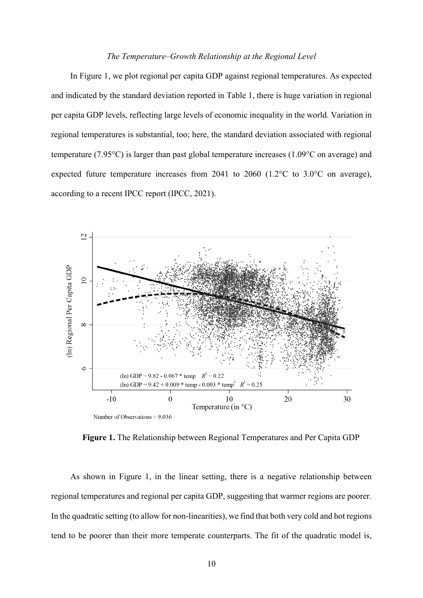## *The Temperature–Growth Relationship at the Regional Level*

In Figure 1, we plot regional per capita GDP against regional temperatures. As expected and indicated by the standard deviation reported in Table 1, there is huge variation in regional per capita GDP levels, reflecting large levels of economic inequality in the world. Variation in regional temperatures is substantial, too; here, the standard deviation associated with regional temperature (7.95°C) is larger than past global temperature increases (1.09°C on average) and expected future temperature increases from 2041 to 2060 (1.2°C to 3.0°C on average), according to a recent IPCC report (IPCC, 2021).



**Figure 1.** The Relationship between Regional Temperatures and Per Capita GDP

As shown in Figure 1, in the linear setting, there is a negative relationship between regional temperatures and regional per capita GDP, suggesting that warmer regions are poorer. In the quadratic setting (to allow for non-linearities), we find that both very cold and hot regions tend to be poorer than their more temperate counterparts. The fit of the quadratic model is,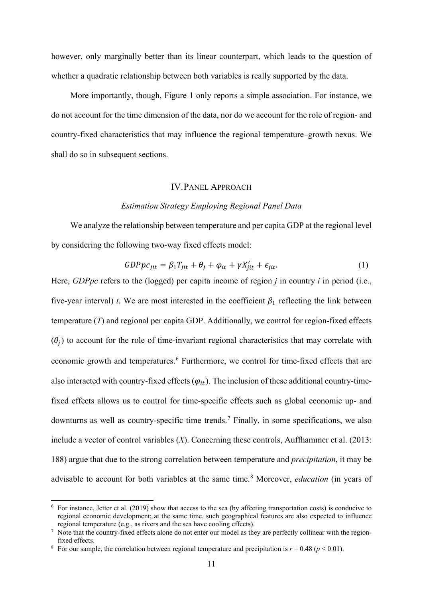however, only marginally better than its linear counterpart, which leads to the question of whether a quadratic relationship between both variables is really supported by the data.

More importantly, though, Figure 1 only reports a simple association. For instance, we do not account for the time dimension of the data, nor do we account for the role of region- and country-fixed characteristics that may influence the regional temperature–growth nexus. We shall do so in subsequent sections.

## IV.PANEL APPROACH

## *Estimation Strategy Employing Regional Panel Data*

We analyze the relationship between temperature and per capita GDP at the regional level by considering the following two-way fixed effects model:

$$
GDPpc_{jit} = \beta_1 T_{jit} + \theta_j + \varphi_{it} + \gamma X'_{jit} + \epsilon_{jit}.
$$
 (1)

Here, *GDPpc* refers to the (logged) per capita income of region *j* in country *i* in period (i.e., five-year interval) *t*. We are most interested in the coefficient  $\beta_1$  reflecting the link between temperature (*T*) and regional per capita GDP. Additionally, we control for region-fixed effects  $(\theta_i)$  to account for the role of time-invariant regional characteristics that may correlate with economic growth and temperatures.<sup>[6](#page-11-0)</sup> Furthermore, we control for time-fixed effects that are also interacted with country-fixed effects  $(\varphi_{it})$ . The inclusion of these additional country-timefixed effects allows us to control for time-specific effects such as global economic up- and downturns as well as country-specific time trends.<sup>[7](#page-11-1)</sup> Finally, in some specifications, we also include a vector of control variables (*X*). Concerning these controls, Auffhammer et al. (2013: 188) argue that due to the strong correlation between temperature and *precipitation*, it may be advisable to account for both variables at the same time.<sup>[8](#page-11-2)</sup> Moreover, *education* (in years of

<span id="page-11-0"></span> $6\,$  For instance, Jetter et al. (2019) show that access to the sea (by affecting transportation costs) is conducive to regional economic development; at the same time, such geographical features are also expected to influence regional temperature (e.g., as rivers and the sea have cooling effects).

<span id="page-11-1"></span><sup>&</sup>lt;sup>7</sup> Note that the country-fixed effects alone do not enter our model as they are perfectly collinear with the regionfixed effects.

<span id="page-11-2"></span><sup>&</sup>lt;sup>8</sup> For our sample, the correlation between regional temperature and precipitation is  $r = 0.48$  ( $p < 0.01$ ).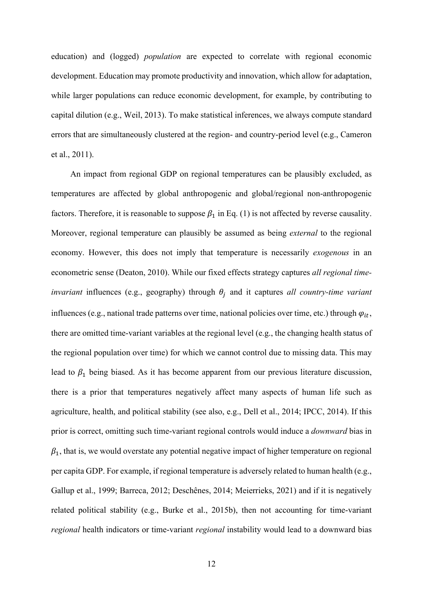education) and (logged) *population* are expected to correlate with regional economic development. Education may promote productivity and innovation, which allow for adaptation, while larger populations can reduce economic development, for example, by contributing to capital dilution (e.g., Weil, 2013). To make statistical inferences, we always compute standard errors that are simultaneously clustered at the region- and country-period level (e.g., Cameron et al., 2011).

An impact from regional GDP on regional temperatures can be plausibly excluded, as temperatures are affected by global anthropogenic and global/regional non-anthropogenic factors. Therefore, it is reasonable to suppose  $\beta_1$  in Eq. (1) is not affected by reverse causality. Moreover, regional temperature can plausibly be assumed as being *external* to the regional economy. However, this does not imply that temperature is necessarily *exogenous* in an econometric sense (Deaton, 2010). While our fixed effects strategy captures *all regional timeinvariant* influences (e.g., geography) through  $\theta_i$  and it captures all country-time variant influences (e.g., national trade patterns over time, national policies over time, etc.) through  $\varphi_{it}$ , there are omitted time-variant variables at the regional level (e.g., the changing health status of the regional population over time) for which we cannot control due to missing data. This may lead to  $\beta_1$  being biased. As it has become apparent from our previous literature discussion, there is a prior that temperatures negatively affect many aspects of human life such as agriculture, health, and political stability (see also, e.g., Dell et al., 2014; IPCC, 2014). If this prior is correct, omitting such time-variant regional controls would induce a *downward* bias in  $\beta_1$ , that is, we would overstate any potential negative impact of higher temperature on regional per capita GDP. For example, if regional temperature is adversely related to human health (e.g., Gallup et al., 1999; Barreca, 2012; Deschênes, 2014; Meierrieks, 2021) and if it is negatively related political stability (e.g., Burke et al., 2015b), then not accounting for time-variant *regional* health indicators or time-variant *regional* instability would lead to a downward bias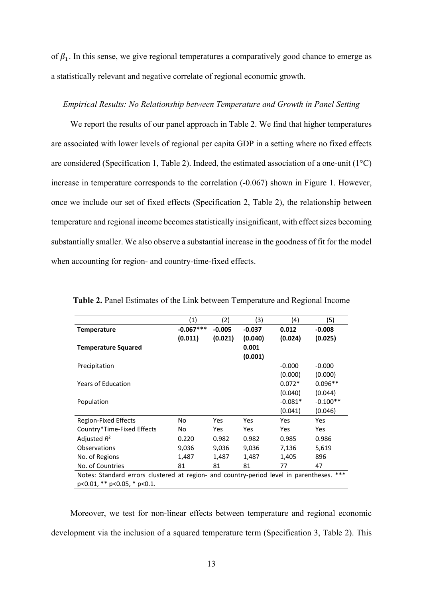of  $\beta_1$ . In this sense, we give regional temperatures a comparatively good chance to emerge as a statistically relevant and negative correlate of regional economic growth.

## *Empirical Results: No Relationship between Temperature and Growth in Panel Setting*

We report the results of our panel approach in Table 2. We find that higher temperatures are associated with lower levels of regional per capita GDP in a setting where no fixed effects are considered (Specification 1, Table 2). Indeed, the estimated association of a one-unit (1°C) increase in temperature corresponds to the correlation (-0.067) shown in Figure 1. However, once we include our set of fixed effects (Specification 2, Table 2), the relationship between temperature and regional income becomes statistically insignificant, with effect sizes becoming substantially smaller. We also observe a substantial increase in the goodness of fit for the model when accounting for region- and country-time-fixed effects.

|                                                                                               | (1)         | (2)      | (3)      | (4)       | (5)        |  |  |  |  |
|-----------------------------------------------------------------------------------------------|-------------|----------|----------|-----------|------------|--|--|--|--|
| <b>Temperature</b>                                                                            | $-0.067***$ | $-0.005$ | $-0.037$ | 0.012     | $-0.008$   |  |  |  |  |
|                                                                                               |             |          |          |           |            |  |  |  |  |
|                                                                                               | (0.011)     | (0.021)  | (0.040)  | (0.024)   | (0.025)    |  |  |  |  |
| <b>Temperature Squared</b>                                                                    |             |          | 0.001    |           |            |  |  |  |  |
|                                                                                               |             |          | (0.001)  |           |            |  |  |  |  |
| Precipitation                                                                                 |             |          |          | $-0.000$  | $-0.000$   |  |  |  |  |
|                                                                                               |             |          |          | (0.000)   | (0.000)    |  |  |  |  |
| <b>Years of Education</b>                                                                     |             |          |          | $0.072*$  | $0.096**$  |  |  |  |  |
|                                                                                               |             |          |          | (0.040)   | (0.044)    |  |  |  |  |
| Population                                                                                    |             |          |          | $-0.081*$ | $-0.100**$ |  |  |  |  |
|                                                                                               |             |          |          | (0.041)   | (0.046)    |  |  |  |  |
| <b>Region-Fixed Effects</b>                                                                   | No.         | Yes      | Yes      | Yes       | Yes        |  |  |  |  |
| Country*Time-Fixed Effects                                                                    | No          | Yes      | Yes      | Yes       | Yes        |  |  |  |  |
| Adjusted $R^2$                                                                                | 0.220       | 0.982    | 0.982    | 0.985     | 0.986      |  |  |  |  |
| Observations                                                                                  | 9,036       | 9,036    | 9,036    | 7,136     | 5,619      |  |  |  |  |
| No. of Regions                                                                                | 1,487       | 1,487    | 1,487    | 1,405     | 896        |  |  |  |  |
| No. of Countries<br>81<br>81<br>47<br>81<br>77                                                |             |          |          |           |            |  |  |  |  |
| $***$<br>Notes: Standard errors clustered at region- and country-period level in parentheses. |             |          |          |           |            |  |  |  |  |
| $p<0.01$ , ** $p<0.05$ , * $p<0.1$ .                                                          |             |          |          |           |            |  |  |  |  |

**Table 2.** Panel Estimates of the Link between Temperature and Regional Income

Moreover, we test for non-linear effects between temperature and regional economic development via the inclusion of a squared temperature term (Specification 3, Table 2). This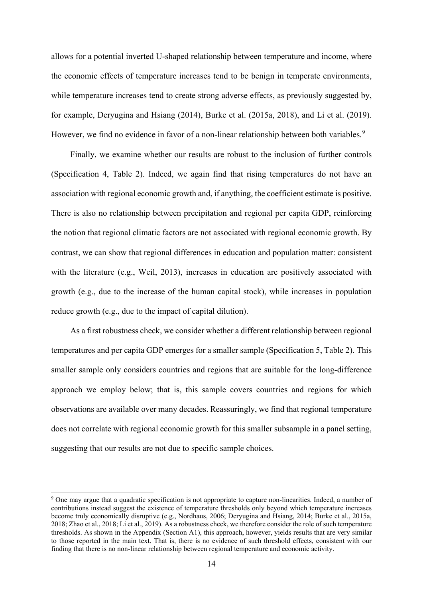allows for a potential inverted U-shaped relationship between temperature and income, where the economic effects of temperature increases tend to be benign in temperate environments, while temperature increases tend to create strong adverse effects, as previously suggested by, for example, Deryugina and Hsiang (2014), Burke et al. (2015a, 2018), and Li et al. (2019). However, we find no evidence in favor of a non-linear relationship between both variables.<sup>[9](#page-14-0)</sup>

Finally, we examine whether our results are robust to the inclusion of further controls (Specification 4, Table 2). Indeed, we again find that rising temperatures do not have an association with regional economic growth and, if anything, the coefficient estimate is positive. There is also no relationship between precipitation and regional per capita GDP, reinforcing the notion that regional climatic factors are not associated with regional economic growth. By contrast, we can show that regional differences in education and population matter: consistent with the literature (e.g., Weil, 2013), increases in education are positively associated with growth (e.g., due to the increase of the human capital stock), while increases in population reduce growth (e.g., due to the impact of capital dilution).

As a first robustness check, we consider whether a different relationship between regional temperatures and per capita GDP emerges for a smaller sample (Specification 5, Table 2). This smaller sample only considers countries and regions that are suitable for the long-difference approach we employ below; that is, this sample covers countries and regions for which observations are available over many decades. Reassuringly, we find that regional temperature does not correlate with regional economic growth for this smaller subsample in a panel setting, suggesting that our results are not due to specific sample choices.

<span id="page-14-0"></span><sup>&</sup>lt;sup>9</sup> One may argue that a quadratic specification is not appropriate to capture non-linearities. Indeed, a number of contributions instead suggest the existence of temperature thresholds only beyond which temperature increases become truly economically disruptive (e.g., Nordhaus, 2006; Deryugina and Hsiang, 2014; Burke et al., 2015a, 2018; Zhao et al., 2018; Li et al., 2019). As a robustness check, we therefore consider the role of such temperature thresholds. As shown in the Appendix (Section A1), this approach, however, yields results that are very similar to those reported in the main text. That is, there is no evidence of such threshold effects, consistent with our finding that there is no non-linear relationship between regional temperature and economic activity.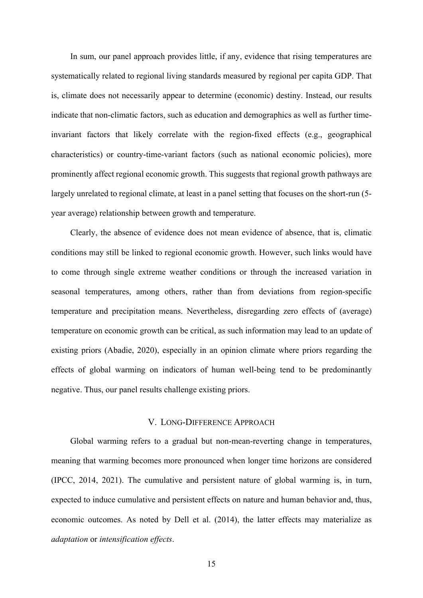In sum, our panel approach provides little, if any, evidence that rising temperatures are systematically related to regional living standards measured by regional per capita GDP. That is, climate does not necessarily appear to determine (economic) destiny. Instead, our results indicate that non-climatic factors, such as education and demographics as well as further timeinvariant factors that likely correlate with the region-fixed effects (e.g., geographical characteristics) or country-time-variant factors (such as national economic policies), more prominently affect regional economic growth. This suggests that regional growth pathways are largely unrelated to regional climate, at least in a panel setting that focuses on the short-run (5 year average) relationship between growth and temperature.

Clearly, the absence of evidence does not mean evidence of absence, that is, climatic conditions may still be linked to regional economic growth. However, such links would have to come through single extreme weather conditions or through the increased variation in seasonal temperatures, among others, rather than from deviations from region-specific temperature and precipitation means. Nevertheless, disregarding zero effects of (average) temperature on economic growth can be critical, as such information may lead to an update of existing priors (Abadie, 2020), especially in an opinion climate where priors regarding the effects of global warming on indicators of human well-being tend to be predominantly negative. Thus, our panel results challenge existing priors.

## V. LONG-DIFFERENCE APPROACH

Global warming refers to a gradual but non-mean-reverting change in temperatures, meaning that warming becomes more pronounced when longer time horizons are considered (IPCC, 2014, 2021). The cumulative and persistent nature of global warming is, in turn, expected to induce cumulative and persistent effects on nature and human behavior and, thus, economic outcomes. As noted by Dell et al. (2014), the latter effects may materialize as *adaptation* or *intensification effects*.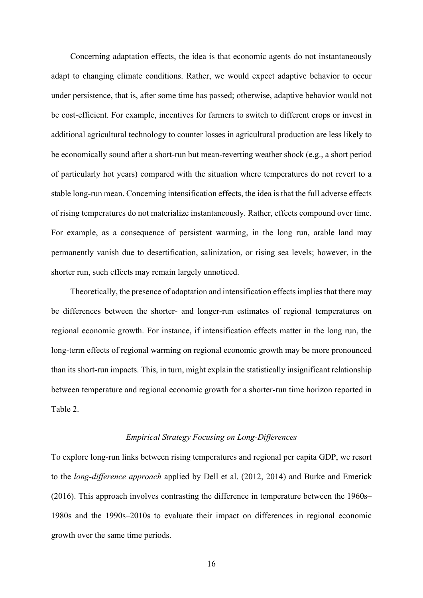Concerning adaptation effects, the idea is that economic agents do not instantaneously adapt to changing climate conditions. Rather, we would expect adaptive behavior to occur under persistence, that is, after some time has passed; otherwise, adaptive behavior would not be cost-efficient. For example, incentives for farmers to switch to different crops or invest in additional agricultural technology to counter losses in agricultural production are less likely to be economically sound after a short-run but mean-reverting weather shock (e.g., a short period of particularly hot years) compared with the situation where temperatures do not revert to a stable long-run mean. Concerning intensification effects, the idea is that the full adverse effects of rising temperatures do not materialize instantaneously. Rather, effects compound over time. For example, as a consequence of persistent warming, in the long run, arable land may permanently vanish due to desertification, salinization, or rising sea levels; however, in the shorter run, such effects may remain largely unnoticed.

Theoretically, the presence of adaptation and intensification effects implies that there may be differences between the shorter- and longer-run estimates of regional temperatures on regional economic growth. For instance, if intensification effects matter in the long run, the long-term effects of regional warming on regional economic growth may be more pronounced than its short-run impacts. This, in turn, might explain the statistically insignificant relationship between temperature and regional economic growth for a shorter-run time horizon reported in Table 2.

## *Empirical Strategy Focusing on Long-Differences*

To explore long-run links between rising temperatures and regional per capita GDP, we resort to the *long-difference approach* applied by Dell et al. (2012, 2014) and Burke and Emerick (2016). This approach involves contrasting the difference in temperature between the 1960s– 1980s and the 1990s–2010s to evaluate their impact on differences in regional economic growth over the same time periods.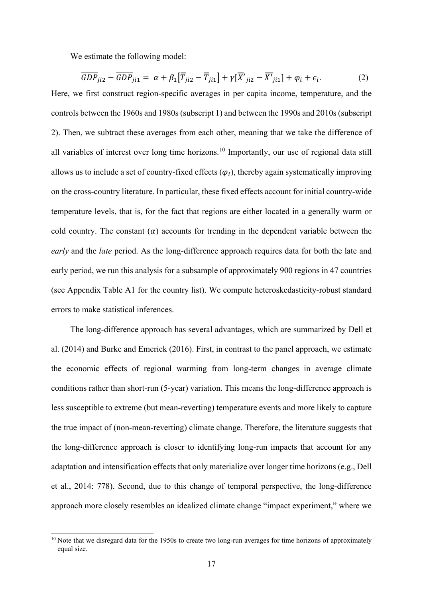We estimate the following model:

$$
\overline{GDP}_{ji2} - \overline{GDP}_{ji1} = \alpha + \beta_1 [\overline{T}_{ji2} - \overline{T}_{ji1}] + \gamma [\overline{X'}_{ji2} - \overline{X'}_{ji1}] + \varphi_i + \epsilon_i.
$$
 (2)

Here, we first construct region-specific averages in per capita income, temperature, and the controls between the 1960s and 1980s (subscript 1) and between the 1990s and 2010s (subscript 2). Then, we subtract these averages from each other, meaning that we take the difference of all variables of interest over long time horizons.<sup>[10](#page-17-0)</sup> Importantly, our use of regional data still allows us to include a set of country-fixed effects  $(\varphi_i)$ , thereby again systematically improving on the cross-country literature. In particular, these fixed effects account for initial country-wide temperature levels, that is, for the fact that regions are either located in a generally warm or cold country. The constant  $(a)$  accounts for trending in the dependent variable between the *early* and the *late* period. As the long-difference approach requires data for both the late and early period, we run this analysis for a subsample of approximately 900 regions in 47 countries (see Appendix Table A1 for the country list). We compute heteroskedasticity-robust standard errors to make statistical inferences.

The long-difference approach has several advantages, which are summarized by Dell et al. (2014) and Burke and Emerick (2016). First, in contrast to the panel approach, we estimate the economic effects of regional warming from long-term changes in average climate conditions rather than short-run (5-year) variation. This means the long-difference approach is less susceptible to extreme (but mean-reverting) temperature events and more likely to capture the true impact of (non-mean-reverting) climate change. Therefore, the literature suggests that the long-difference approach is closer to identifying long-run impacts that account for any adaptation and intensification effects that only materialize over longer time horizons (e.g., Dell et al., 2014: 778). Second, due to this change of temporal perspective, the long-difference approach more closely resembles an idealized climate change "impact experiment," where we

<span id="page-17-0"></span><sup>&</sup>lt;sup>10</sup> Note that we disregard data for the 1950s to create two long-run averages for time horizons of approximately equal size.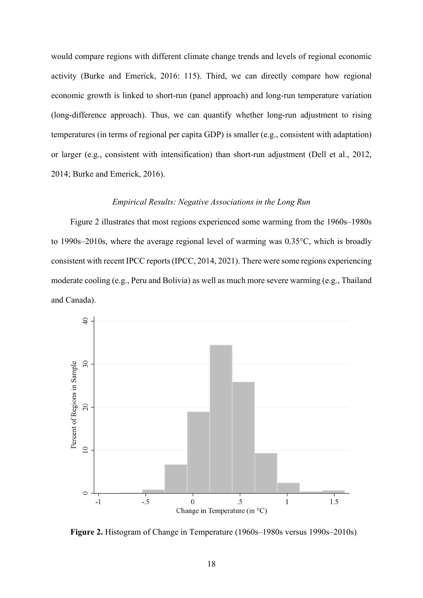would compare regions with different climate change trends and levels of regional economic activity (Burke and Emerick, 2016: 115). Third, we can directly compare how regional economic growth is linked to short-run (panel approach) and long-run temperature variation (long-difference approach). Thus, we can quantify whether long-run adjustment to rising temperatures (in terms of regional per capita GDP) is smaller (e.g., consistent with adaptation) or larger (e.g., consistent with intensification) than short-run adjustment (Dell et al., 2012, 2014; Burke and Emerick, 2016).

## *Empirical Results: Negative Associations in the Long Run*

Figure 2 illustrates that most regions experienced some warming from the 1960s–1980s to 1990s–2010s, where the average regional level of warming was 0.35°C, which is broadly consistent with recent IPCC reports(IPCC, 2014, 2021). There were some regions experiencing moderate cooling (e.g., Peru and Bolivia) as well as much more severe warming (e.g., Thailand and Canada).



**Figure 2.** Histogram of Change in Temperature (1960s–1980s versus 1990s–2010s)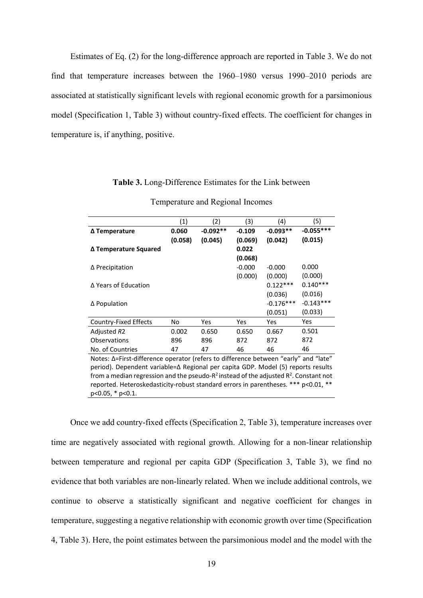Estimates of Eq. (2) for the long-difference approach are reported in Table 3. We do not find that temperature increases between the 1960–1980 versus 1990–2010 periods are associated at statistically significant levels with regional economic growth for a parsimonious model (Specification 1, Table 3) without country-fixed effects. The coefficient for changes in temperature is, if anything, positive.

| Table 3. Long-Difference Estimates for the Link between |  |  |  |  |  |  |  |  |  |  |
|---------------------------------------------------------|--|--|--|--|--|--|--|--|--|--|
|---------------------------------------------------------|--|--|--|--|--|--|--|--|--|--|

|                                                                                             | (1)                                                 | (2)        | (3)      | (4)         | (5)         |  |  |  |  |
|---------------------------------------------------------------------------------------------|-----------------------------------------------------|------------|----------|-------------|-------------|--|--|--|--|
| ∆ Temperature                                                                               | 0.060                                               | $-0.092**$ | $-0.109$ | $-0.093**$  | $-0.055***$ |  |  |  |  |
|                                                                                             | (0.015)<br>(0.058)<br>(0.045)<br>(0.042)<br>(0.069) |            |          |             |             |  |  |  |  |
| ∆ Temperature Squared                                                                       |                                                     |            | 0.022    |             |             |  |  |  |  |
|                                                                                             |                                                     |            | (0.068)  |             |             |  |  |  |  |
| $\Delta$ Precipitation                                                                      |                                                     |            | $-0.000$ | $-0.000$    | 0.000       |  |  |  |  |
|                                                                                             |                                                     |            | (0.000)  | (0.000)     | (0.000)     |  |  |  |  |
| Δ Years of Education                                                                        |                                                     |            |          | $0.122***$  | $0.140***$  |  |  |  |  |
|                                                                                             |                                                     |            |          | (0.036)     | (0.016)     |  |  |  |  |
| ∆ Population                                                                                |                                                     |            |          | $-0.176***$ | $-0.143***$ |  |  |  |  |
|                                                                                             |                                                     |            |          | (0.051)     | (0.033)     |  |  |  |  |
| Country-Fixed Effects                                                                       | No                                                  | Yes        | Yes      | <b>Yes</b>  | Yes         |  |  |  |  |
| Adjusted R2                                                                                 | 0.002                                               | 0.650      | 0.650    | 0.667       | 0.501       |  |  |  |  |
| <b>Observations</b>                                                                         | 896                                                 | 896        | 872      | 872         | 872         |  |  |  |  |
| No. of Countries                                                                            | 47                                                  | 47         | 46       | 46          | 46          |  |  |  |  |
| Notes: Δ=First-difference operator (refers to difference between "early" and "late"         |                                                     |            |          |             |             |  |  |  |  |
| period). Dependent variable=∆ Regional per capita GDP. Model (5) reports results            |                                                     |            |          |             |             |  |  |  |  |
| from a median regression and the pseudo- $R^2$ instead of the adjusted $R^2$ . Constant not |                                                     |            |          |             |             |  |  |  |  |
| reported. Heteroskedasticity-robust standard errors in parentheses. *** p<0.01, **          |                                                     |            |          |             |             |  |  |  |  |

| Temperature and Regional Incomes |
|----------------------------------|
|----------------------------------|

Once we add country-fixed effects (Specification 2, Table 3), temperature increases over time are negatively associated with regional growth. Allowing for a non-linear relationship between temperature and regional per capita GDP (Specification 3, Table 3), we find no evidence that both variables are non-linearly related. When we include additional controls, we continue to observe a statistically significant and negative coefficient for changes in temperature, suggesting a negative relationship with economic growth over time (Specification 4, Table 3). Here, the point estimates between the parsimonious model and the model with the

p<0.05, \* p<0.1.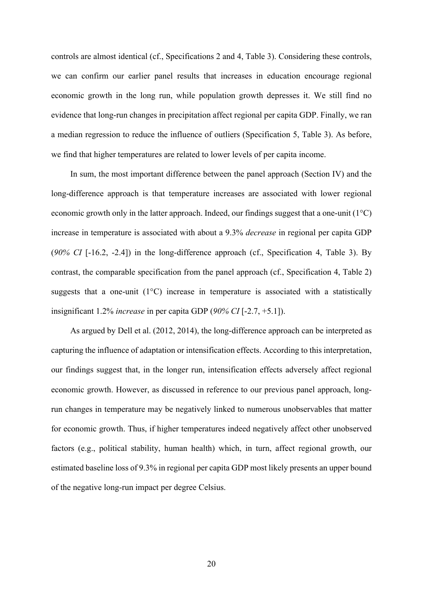controls are almost identical (cf., Specifications 2 and 4, Table 3). Considering these controls, we can confirm our earlier panel results that increases in education encourage regional economic growth in the long run, while population growth depresses it. We still find no evidence that long-run changes in precipitation affect regional per capita GDP. Finally, we ran a median regression to reduce the influence of outliers (Specification 5, Table 3). As before, we find that higher temperatures are related to lower levels of per capita income.

In sum, the most important difference between the panel approach (Section IV) and the long-difference approach is that temperature increases are associated with lower regional economic growth only in the latter approach. Indeed, our findings suggest that a one-unit (1°C) increase in temperature is associated with about a 9.3% *decrease* in regional per capita GDP (*90% CI* [-16.2, -2.4]) in the long-difference approach (cf., Specification 4, Table 3). By contrast, the comparable specification from the panel approach (cf., Specification 4, Table 2) suggests that a one-unit  $(1^{\circ}C)$  increase in temperature is associated with a statistically insignificant 1.2% *increase* in per capita GDP (*90% CI* [-2.7, +5.1]).

As argued by Dell et al. (2012, 2014), the long-difference approach can be interpreted as capturing the influence of adaptation or intensification effects. According to this interpretation, our findings suggest that, in the longer run, intensification effects adversely affect regional economic growth. However, as discussed in reference to our previous panel approach, longrun changes in temperature may be negatively linked to numerous unobservables that matter for economic growth. Thus, if higher temperatures indeed negatively affect other unobserved factors (e.g., political stability, human health) which, in turn, affect regional growth, our estimated baseline loss of 9.3% in regional per capita GDP most likely presents an upper bound of the negative long-run impact per degree Celsius.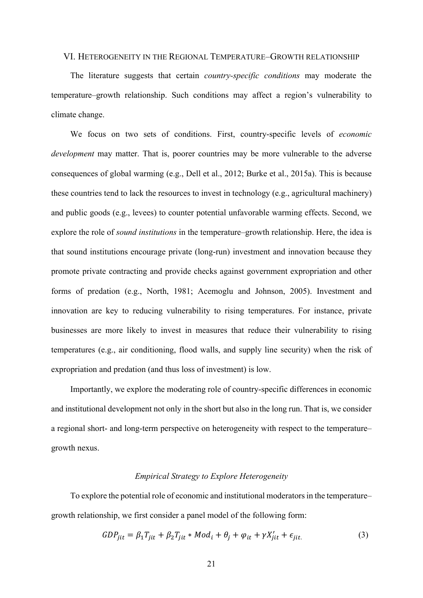## VI. HETEROGENEITY IN THE REGIONAL TEMPERATURE–GROWTH RELATIONSHIP

The literature suggests that certain *country-specific conditions* may moderate the temperature–growth relationship. Such conditions may affect a region's vulnerability to climate change.

We focus on two sets of conditions. First, country-specific levels of *economic development* may matter. That is, poorer countries may be more vulnerable to the adverse consequences of global warming (e.g., Dell et al., 2012; Burke et al., 2015a). This is because these countries tend to lack the resources to invest in technology (e.g., agricultural machinery) and public goods (e.g., levees) to counter potential unfavorable warming effects. Second, we explore the role of *sound institutions* in the temperature–growth relationship. Here, the idea is that sound institutions encourage private (long-run) investment and innovation because they promote private contracting and provide checks against government expropriation and other forms of predation (e.g., North, 1981; Acemoglu and Johnson, 2005). Investment and innovation are key to reducing vulnerability to rising temperatures. For instance, private businesses are more likely to invest in measures that reduce their vulnerability to rising temperatures (e.g., air conditioning, flood walls, and supply line security) when the risk of expropriation and predation (and thus loss of investment) is low.

Importantly, we explore the moderating role of country-specific differences in economic and institutional development not only in the short but also in the long run. That is, we consider a regional short- and long-term perspective on heterogeneity with respect to the temperature– growth nexus.

#### *Empirical Strategy to Explore Heterogeneity*

To explore the potential role of economic and institutional moderators in the temperature– growth relationship, we first consider a panel model of the following form:

$$
GDP_{jit} = \beta_1 T_{jit} + \beta_2 T_{jit} * Mod_i + \theta_j + \varphi_{it} + \gamma X'_{jit} + \epsilon_{jit.}
$$
\n(3)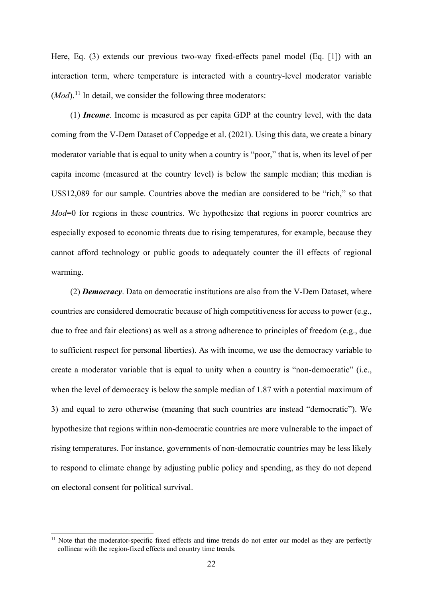Here, Eq. (3) extends our previous two-way fixed-effects panel model (Eq. [1]) with an interaction term, where temperature is interacted with a country-level moderator variable  $(Mod)^{11}$  $(Mod)^{11}$  $(Mod)^{11}$  In detail, we consider the following three moderators:

(1) *Income*. Income is measured as per capita GDP at the country level, with the data coming from the V-Dem Dataset of Coppedge et al. (2021). Using this data, we create a binary moderator variable that is equal to unity when a country is "poor," that is, when its level of per capita income (measured at the country level) is below the sample median; this median is US\$12,089 for our sample. Countries above the median are considered to be "rich," so that *Mod*=0 for regions in these countries. We hypothesize that regions in poorer countries are especially exposed to economic threats due to rising temperatures, for example, because they cannot afford technology or public goods to adequately counter the ill effects of regional warming.

(2) *Democracy*. Data on democratic institutions are also from the V-Dem Dataset, where countries are considered democratic because of high competitiveness for access to power (e.g., due to free and fair elections) as well as a strong adherence to principles of freedom (e.g., due to sufficient respect for personal liberties). As with income, we use the democracy variable to create a moderator variable that is equal to unity when a country is "non-democratic" (i.e., when the level of democracy is below the sample median of 1.87 with a potential maximum of 3) and equal to zero otherwise (meaning that such countries are instead "democratic"). We hypothesize that regions within non-democratic countries are more vulnerable to the impact of rising temperatures. For instance, governments of non-democratic countries may be less likely to respond to climate change by adjusting public policy and spending, as they do not depend on electoral consent for political survival.

<span id="page-22-0"></span>Note that the moderator-specific fixed effects and time trends do not enter our model as they are perfectly collinear with the region-fixed effects and country time trends.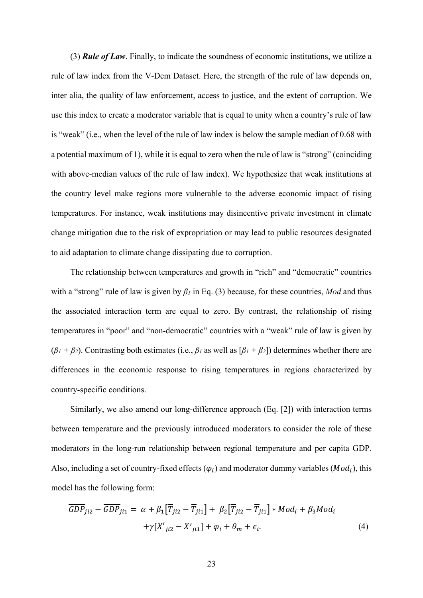(3) *Rule of Law*. Finally, to indicate the soundness of economic institutions, we utilize a rule of law index from the V-Dem Dataset. Here, the strength of the rule of law depends on, inter alia, the quality of law enforcement, access to justice, and the extent of corruption. We use this index to create a moderator variable that is equal to unity when a country's rule of law is "weak" (i.e., when the level of the rule of law index is below the sample median of 0.68 with a potential maximum of 1), while it is equal to zero when the rule of law is "strong" (coinciding with above-median values of the rule of law index). We hypothesize that weak institutions at the country level make regions more vulnerable to the adverse economic impact of rising temperatures. For instance, weak institutions may disincentive private investment in climate change mitigation due to the risk of expropriation or may lead to public resources designated to aid adaptation to climate change dissipating due to corruption.

The relationship between temperatures and growth in "rich" and "democratic" countries with a "strong" rule of law is given by *β<sup>1</sup>* in Eq. (3) because, for these countries, *Mod* and thus the associated interaction term are equal to zero. By contrast, the relationship of rising temperatures in "poor" and "non-democratic" countries with a "weak" rule of law is given by  $(\beta_1 + \beta_2)$ . Contrasting both estimates (i.e.,  $\beta_1$  as well as  $[\beta_1 + \beta_2]$ ) determines whether there are differences in the economic response to rising temperatures in regions characterized by country-specific conditions.

Similarly, we also amend our long-difference approach (Eq. [2]) with interaction terms between temperature and the previously introduced moderators to consider the role of these moderators in the long-run relationship between regional temperature and per capita GDP. Also, including a set of country-fixed effects  $(\varphi_i)$  and moderator dummy variables ( $Mod_i$ ), this model has the following form:

$$
\overline{GDP}_{ji2} - \overline{GDP}_{ji1} = \alpha + \beta_1 [\overline{T}_{ji2} - \overline{T}_{ji1}] + \beta_2 [\overline{T}_{ji2} - \overline{T}_{ji1}] * Mod_i + \beta_3 Mod_i
$$
  
 
$$
+ \gamma [\overline{X'}_{ji2} - \overline{X'}_{ji1}] + \varphi_i + \theta_m + \epsilon_i.
$$
 (4)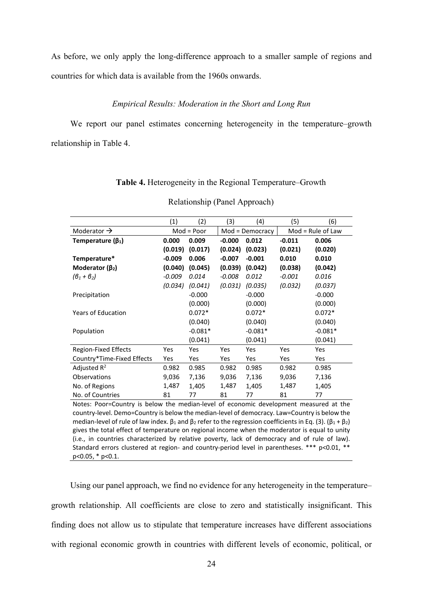As before, we only apply the long-difference approach to a smaller sample of regions and countries for which data is available from the 1960s onwards.

## *Empirical Results: Moderation in the Short and Long Run*

We report our panel estimates concerning heterogeneity in the temperature–growth relationship in Table 4.

|                             | (1)      | (2)          | (3)      | (4)             | (5)      | (6)                 |
|-----------------------------|----------|--------------|----------|-----------------|----------|---------------------|
| Moderator $\rightarrow$     |          | $Mod = Poor$ |          | Mod = Democracy |          | $Mod = Rule of Law$ |
| Temperature ( $\beta_1$ )   | 0.000    | 0.009        | $-0.000$ | 0.012           | $-0.011$ | 0.006               |
|                             | (0.019)  | (0.017)      | (0.024)  | (0.023)         | (0.021)  | (0.020)             |
| Temperature*                | $-0.009$ | 0.006        | $-0.007$ | $-0.001$        | 0.010    | 0.010               |
| Moderator $(\beta_2)$       | (0.040)  | (0.045)      | (0.039)  | (0.042)         | (0.038)  | (0.042)             |
| $(\theta_1 + \theta_2)$     | $-0.009$ | 0.014        | $-0.008$ | 0.012           | $-0.001$ | 0.016               |
|                             | (0.034)  | (0.041)      | (0.031)  | (0.035)         | (0.032)  | (0.037)             |
| Precipitation               |          | $-0.000$     |          | $-0.000$        |          | $-0.000$            |
|                             |          | (0.000)      |          | (0.000)         |          | (0.000)             |
| <b>Years of Education</b>   |          | $0.072*$     |          | $0.072*$        |          | $0.072*$            |
|                             |          | (0.040)      |          | (0.040)         |          | (0.040)             |
| Population                  |          | $-0.081*$    |          | $-0.081*$       |          | $-0.081*$           |
|                             |          | (0.041)      |          | (0.041)         |          | (0.041)             |
| <b>Region-Fixed Effects</b> | Yes      | <b>Yes</b>   | Yes      | Yes             | Yes      | Yes                 |
| Country*Time-Fixed Effects  | Yes      | Yes          | Yes      | Yes             | Yes      | Yes                 |
| Adjusted $R^2$              | 0.982    | 0.985        | 0.982    | 0.985           | 0.982    | 0.985               |
| Observations                | 9,036    | 7,136        | 9,036    | 7,136           | 9,036    | 7,136               |
| No. of Regions              | 1,487    | 1,405        | 1,487    | 1,405           | 1,487    | 1,405               |
| No. of Countries            | 81       | 77           | 81       | 77              | 81       | 77                  |

| Table 4. Heterogeneity in the Regional Temperature–Growth |
|-----------------------------------------------------------|
|-----------------------------------------------------------|

Relationship (Panel Approach)

Notes: Poor=Country is below the median-level of economic development measured at the country-level. Demo=Country is below the median-level of democracy. Law=Country is below the median-level of rule of law index.  $β_1$  and  $β_2$  refer to the regression coefficients in Eq. (3). ( $β_1 + β_2$ ) gives the total effect of temperature on regional income when the moderator is equal to unity (i.e., in countries characterized by relative poverty, lack of democracy and of rule of law). Standard errors clustered at region- and country-period level in parentheses. \*\*\* p<0.01, \*\* p<0.05, \* p<0.1.

Using our panel approach, we find no evidence for any heterogeneity in the temperature– growth relationship. All coefficients are close to zero and statistically insignificant. This finding does not allow us to stipulate that temperature increases have different associations with regional economic growth in countries with different levels of economic, political, or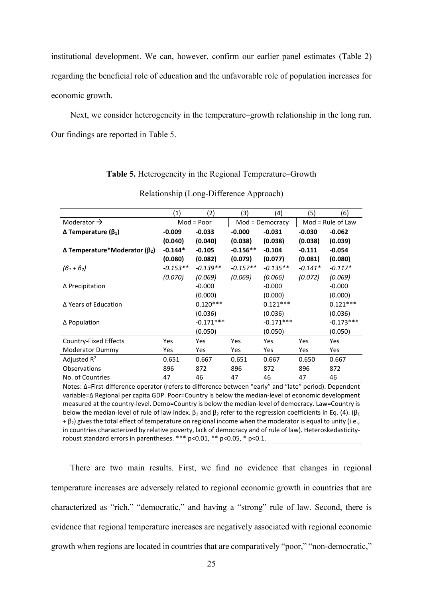institutional development. We can, however, confirm our earlier panel estimates (Table 2) regarding the beneficial role of education and the unfavorable role of population increases for economic growth.

Next, we consider heterogeneity in the temperature–growth relationship in the long run. Our findings are reported in Table 5.

## **Table 5.** Heterogeneity in the Regional Temperature–Growth

|                                    | (1)        | (2)          | (3)        | (4)             | (5)       | (6)                 |  |
|------------------------------------|------------|--------------|------------|-----------------|-----------|---------------------|--|
| Moderator $\rightarrow$            |            | $Mod = Poor$ |            | Mod = Democracy |           | $Mod = Rule of Law$ |  |
| $Δ$ Temperature ( $β1$ )           | $-0.009$   | $-0.033$     | $-0.000$   | $-0.031$        | $-0.030$  | $-0.062$            |  |
|                                    | (0.040)    | (0.040)      | (0.038)    | (0.038)         | (0.038)   | (0.039)             |  |
| $Δ$ Temperature*Moderator ( $β2$ ) | $-0.144*$  | $-0.105$     | $-0.156**$ | $-0.104$        | $-0.111$  | $-0.054$            |  |
|                                    | (0.080)    | (0.082)      | (0.079)    | (0.077)         | (0.081)   | (0.080)             |  |
| $(\theta_1 + \theta_2)$            | $-0.153**$ | $-0.139**$   | $-0.157**$ | $-0.135**$      | $-0.141*$ | $-0.117*$           |  |
|                                    | (0.070)    | (0.069)      | (0.069)    | (0.066)         | (0.072)   | (0.069)             |  |
| ∆ Precipitation                    |            | $-0.000$     |            | $-0.000$        |           | $-0.000$            |  |
|                                    |            | (0.000)      |            | (0.000)         |           | (0.000)             |  |
| Δ Years of Education               |            | $0.120***$   |            | $0.121***$      |           | $0.121***$          |  |
|                                    |            | (0.036)      |            | (0.036)         |           | (0.036)             |  |
| $\Delta$ Population                |            | $-0.171***$  |            | $-0.171***$     |           | $-0.173***$         |  |
|                                    |            | (0.050)      |            | (0.050)         |           | (0.050)             |  |
| Country-Fixed Effects              | Yes        | Yes          | <b>Yes</b> | Yes             | Yes       | Yes                 |  |
| Moderator Dummy                    | Yes        | Yes          | Yes        | Yes             | Yes       | Yes                 |  |
| Adjusted $R^2$                     | 0.651      | 0.667        | 0.651      | 0.667           | 0.650     | 0.667               |  |
| <b>Observations</b>                | 896        | 872          | 896        | 872             | 896       | 872                 |  |
| No. of Countries                   | 47         | 46           | 47         | 46              | 47        | 46                  |  |

#### Relationship (Long-Difference Approach)

Notes: Δ=First-difference operator (refers to difference between "early" and "late" period). Dependent variable=Δ Regional per capita GDP. Poor=Country is below the median-level of economic development measured at the country-level. Demo=Country is below the median-level of democracy. Law=Country is below the median-level of rule of law index.  $\beta_1$  and  $\beta_2$  refer to the regression coefficients in Eq. (4). ( $\beta_1$  $+ \beta_2$ ) gives the total effect of temperature on regional income when the moderator is equal to unity (i.e., in countries characterized by relative poverty, lack of democracy and of rule of law). Heteroskedasticityrobust standard errors in parentheses. \*\*\* p<0.01, \*\* p<0.05, \* p<0.1.

There are two main results. First, we find no evidence that changes in regional temperature increases are adversely related to regional economic growth in countries that are characterized as "rich," "democratic," and having a "strong" rule of law. Second, there is evidence that regional temperature increases are negatively associated with regional economic growth when regions are located in countries that are comparatively "poor," "non-democratic,"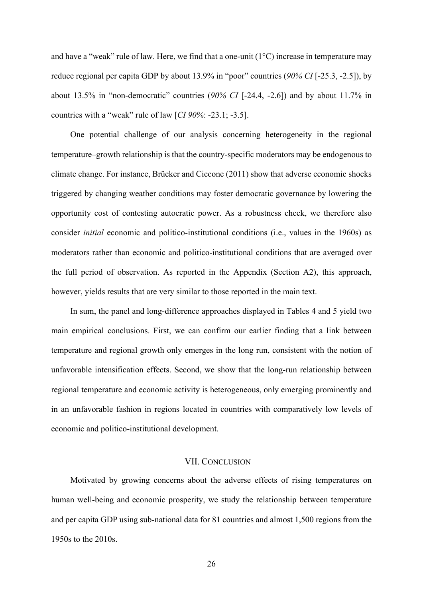and have a "weak" rule of law. Here, we find that a one-unit  $(1^{\circ}C)$  increase in temperature may reduce regional per capita GDP by about 13.9% in "poor" countries (*90% CI* [-25.3, -2.5]), by about 13.5% in "non-democratic" countries (*90% CI* [-24.4, -2.6]) and by about 11.7% in countries with a "weak" rule of law [*CI 90%*: -23.1; -3.5].

One potential challenge of our analysis concerning heterogeneity in the regional temperature–growth relationship is that the country-specific moderators may be endogenous to climate change. For instance, Brücker and Ciccone (2011) show that adverse economic shocks triggered by changing weather conditions may foster democratic governance by lowering the opportunity cost of contesting autocratic power. As a robustness check, we therefore also consider *initial* economic and politico-institutional conditions (i.e., values in the 1960s) as moderators rather than economic and politico-institutional conditions that are averaged over the full period of observation. As reported in the Appendix (Section A2), this approach, however, yields results that are very similar to those reported in the main text.

In sum, the panel and long-difference approaches displayed in Tables 4 and 5 yield two main empirical conclusions. First, we can confirm our earlier finding that a link between temperature and regional growth only emerges in the long run, consistent with the notion of unfavorable intensification effects. Second, we show that the long-run relationship between regional temperature and economic activity is heterogeneous, only emerging prominently and in an unfavorable fashion in regions located in countries with comparatively low levels of economic and politico-institutional development.

#### VII. CONCLUSION

Motivated by growing concerns about the adverse effects of rising temperatures on human well-being and economic prosperity, we study the relationship between temperature and per capita GDP using sub-national data for 81 countries and almost 1,500 regions from the 1950s to the 2010s.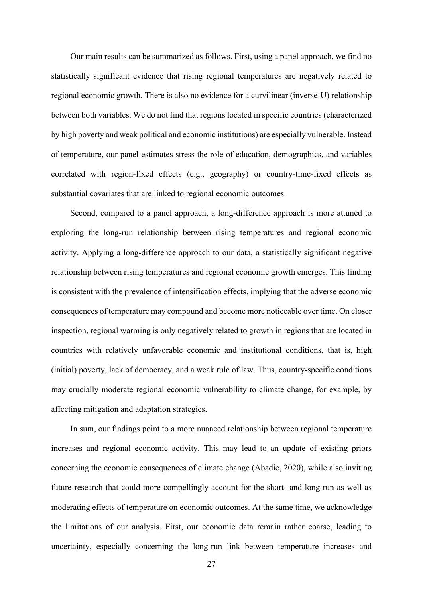Our main results can be summarized as follows. First, using a panel approach, we find no statistically significant evidence that rising regional temperatures are negatively related to regional economic growth. There is also no evidence for a curvilinear (inverse-U) relationship between both variables. We do not find that regions located in specific countries (characterized by high poverty and weak political and economic institutions) are especially vulnerable. Instead of temperature, our panel estimates stress the role of education, demographics, and variables correlated with region-fixed effects (e.g., geography) or country-time-fixed effects as substantial covariates that are linked to regional economic outcomes.

Second, compared to a panel approach, a long-difference approach is more attuned to exploring the long-run relationship between rising temperatures and regional economic activity. Applying a long-difference approach to our data, a statistically significant negative relationship between rising temperatures and regional economic growth emerges. This finding is consistent with the prevalence of intensification effects, implying that the adverse economic consequences of temperature may compound and become more noticeable over time. On closer inspection, regional warming is only negatively related to growth in regions that are located in countries with relatively unfavorable economic and institutional conditions, that is, high (initial) poverty, lack of democracy, and a weak rule of law. Thus, country-specific conditions may crucially moderate regional economic vulnerability to climate change, for example, by affecting mitigation and adaptation strategies.

In sum, our findings point to a more nuanced relationship between regional temperature increases and regional economic activity. This may lead to an update of existing priors concerning the economic consequences of climate change (Abadie, 2020), while also inviting future research that could more compellingly account for the short- and long-run as well as moderating effects of temperature on economic outcomes. At the same time, we acknowledge the limitations of our analysis. First, our economic data remain rather coarse, leading to uncertainty, especially concerning the long-run link between temperature increases and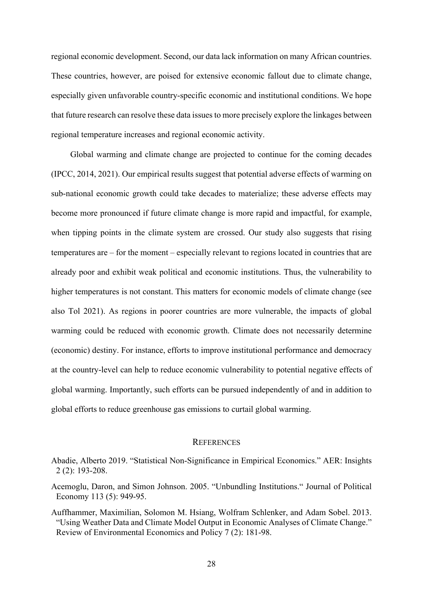regional economic development. Second, our data lack information on many African countries. These countries, however, are poised for extensive economic fallout due to climate change, especially given unfavorable country-specific economic and institutional conditions. We hope that future research can resolve these data issues to more precisely explore the linkages between regional temperature increases and regional economic activity.

Global warming and climate change are projected to continue for the coming decades (IPCC, 2014, 2021). Our empirical results suggest that potential adverse effects of warming on sub-national economic growth could take decades to materialize; these adverse effects may become more pronounced if future climate change is more rapid and impactful, for example, when tipping points in the climate system are crossed. Our study also suggests that rising temperatures are – for the moment – especially relevant to regions located in countries that are already poor and exhibit weak political and economic institutions. Thus, the vulnerability to higher temperatures is not constant. This matters for economic models of climate change (see also Tol 2021). As regions in poorer countries are more vulnerable, the impacts of global warming could be reduced with economic growth. Climate does not necessarily determine (economic) destiny. For instance, efforts to improve institutional performance and democracy at the country-level can help to reduce economic vulnerability to potential negative effects of global warming. Importantly, such efforts can be pursued independently of and in addition to global efforts to reduce greenhouse gas emissions to curtail global warming.

## **REFERENCES**

Abadie, Alberto 2019. "Statistical Non-Significance in Empirical Economics." AER: Insights 2 (2): 193-208.

Acemoglu, Daron, and Simon Johnson. 2005. "Unbundling Institutions." Journal of Political Economy 113 (5): 949-95.

Auffhammer, Maximilian, Solomon M. Hsiang, Wolfram Schlenker, and Adam Sobel. 2013. "Using Weather Data and Climate Model Output in Economic Analyses of Climate Change." Review of Environmental Economics and Policy 7 (2): 181-98.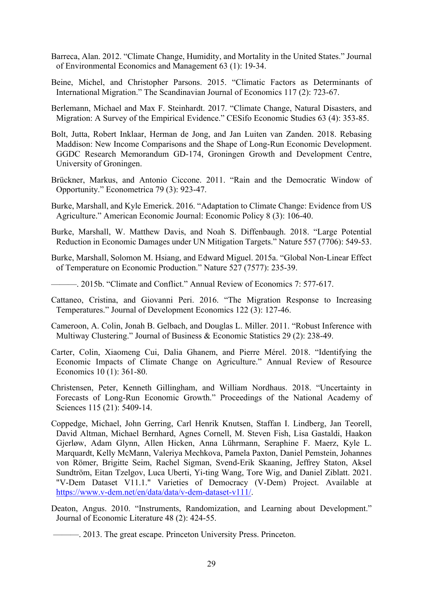- Barreca, Alan. 2012. "Climate Change, Humidity, and Mortality in the United States." Journal of Environmental Economics and Management 63 (1): 19-34.
- Beine, Michel, and Christopher Parsons. 2015. "Climatic Factors as Determinants of International Migration." The Scandinavian Journal of Economics 117 (2): 723-67.
- Berlemann, Michael and Max F. Steinhardt. 2017. "Climate Change, Natural Disasters, and Migration: A Survey of the Empirical Evidence." CESifo Economic Studies 63 (4): 353-85.
- Bolt, Jutta, Robert Inklaar, Herman de Jong, and Jan Luiten van Zanden. 2018. Rebasing Maddison: New Income Comparisons and the Shape of Long-Run Economic Development. GGDC Research Memorandum GD-174, Groningen Growth and Development Centre, University of Groningen.
- Brückner, Markus, and Antonio Ciccone. 2011. "Rain and the Democratic Window of Opportunity." Econometrica 79 (3): 923-47.
- Burke, Marshall, and Kyle Emerick. 2016. "Adaptation to Climate Change: Evidence from US Agriculture." American Economic Journal: Economic Policy 8 (3): 106-40.
- Burke, Marshall, W. Matthew Davis, and Noah S. Diffenbaugh. 2018. "Large Potential Reduction in Economic Damages under UN Mitigation Targets." Nature 557 (7706): 549-53.
- Burke, Marshall, Solomon M. Hsiang, and Edward Miguel. 2015a. "Global Non-Linear Effect of Temperature on Economic Production." Nature 527 (7577): 235-39.
- ———. 2015b. "Climate and Conflict." Annual Review of Economics 7: 577-617.
- Cattaneo, Cristina, and Giovanni Peri. 2016. "The Migration Response to Increasing Temperatures." Journal of Development Economics 122 (3): 127-46.
- Cameroon, A. Colin, Jonah B. Gelbach, and Douglas L. Miller. 2011. "Robust Inference with Multiway Clustering." Journal of Business & Economic Statistics 29 (2): 238-49.
- Carter, Colin, Xiaomeng Cui, Dalia Ghanem, and Pierre Mérel. 2018. "Identifying the Economic Impacts of Climate Change on Agriculture." Annual Review of Resource Economics 10 (1): 361-80.
- Christensen, Peter, Kenneth Gillingham, and William Nordhaus. 2018. "Uncertainty in Forecasts of Long-Run Economic Growth." Proceedings of the National Academy of Sciences 115 (21): 5409-14.
- Coppedge, Michael, John Gerring, Carl Henrik Knutsen, Staffan I. Lindberg, Jan Teorell, David Altman, Michael Bernhard, Agnes Cornell, M. Steven Fish, Lisa Gastaldi, Haakon Gjerløw, Adam Glynn, Allen Hicken, Anna Lührmann, Seraphine F. Maerz, Kyle L. Marquardt, Kelly McMann, Valeriya Mechkova, Pamela Paxton, Daniel Pemstein, Johannes von Römer, Brigitte Seim, Rachel Sigman, Svend-Erik Skaaning, Jeffrey Staton, Aksel Sundtröm, Eitan Tzelgov, Luca Uberti, Yi-ting Wang, Tore Wig, and Daniel Ziblatt. 2021. "V-Dem Dataset V11.1." Varieties of Democracy (V-Dem) Project. Available at [https://www.v-dem.net/en/data/data/v-dem-dataset-v111/.](https://www.v-dem.net/en/data/data/v-dem-dataset-v111/)
- Deaton, Angus. 2010. "Instruments, Randomization, and Learning about Development." Journal of Economic Literature 48 (2): 424-55.
	- ———. 2013. The great escape. Princeton University Press. Princeton.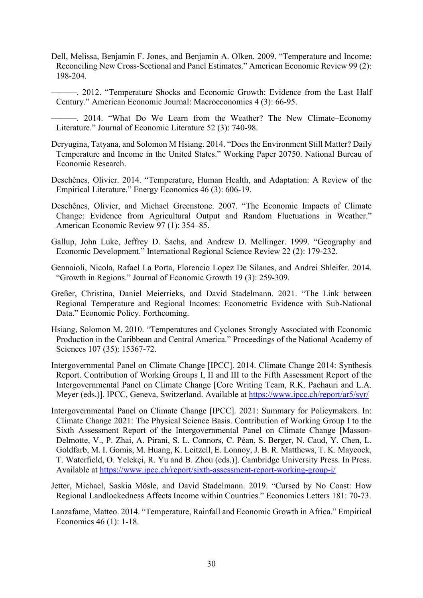- Dell, Melissa, Benjamin F. Jones, and Benjamin A. Olken. 2009. "Temperature and Income: Reconciling New Cross-Sectional and Panel Estimates." American Economic Review 99 (2): 198-204.
- ———. 2012. "Temperature Shocks and Economic Growth: Evidence from the Last Half Century." American Economic Journal: Macroeconomics 4 (3): 66-95.
- ———. 2014. "What Do We Learn from the Weather? The New Climate–Economy Literature." Journal of Economic Literature 52 (3): 740-98.
- Deryugina, Tatyana, and Solomon M Hsiang. 2014. "Does the Environment Still Matter? Daily Temperature and Income in the United States." Working Paper 20750. National Bureau of Economic Research.
- Deschênes, Olivier. 2014. "Temperature, Human Health, and Adaptation: A Review of the Empirical Literature." Energy Economics 46 (3): 606-19.
- Deschênes, Olivier, and Michael Greenstone. 2007. "The Economic Impacts of Climate Change: Evidence from Agricultural Output and Random Fluctuations in Weather." American Economic Review 97 (1): 354–85.
- Gallup, John Luke, Jeffrey D. Sachs, and Andrew D. Mellinger. 1999. "Geography and Economic Development." International Regional Science Review 22 (2): 179-232.
- Gennaioli, Nicola, Rafael La Porta, Florencio Lopez De Silanes, and Andrei Shleifer. 2014. "Growth in Regions." Journal of Economic Growth 19 (3): 259-309.
- Greßer, Christina, Daniel Meierrieks, and David Stadelmann. 2021. "The Link between Regional Temperature and Regional Incomes: Econometric Evidence with Sub-National Data." Economic Policy. Forthcoming.
- Hsiang, Solomon M. 2010. "Temperatures and Cyclones Strongly Associated with Economic Production in the Caribbean and Central America." Proceedings of the National Academy of Sciences 107 (35): 15367-72.
- Intergovernmental Panel on Climate Change [IPCC]. 2014. Climate Change 2014: Synthesis Report. Contribution of Working Groups I, II and III to the Fifth Assessment Report of the Intergovernmental Panel on Climate Change [Core Writing Team, R.K. Pachauri and L.A. Meyer (eds.)]. IPCC, Geneva, Switzerland. Available at <https://www.ipcc.ch/report/ar5/syr/>
- Intergovernmental Panel on Climate Change [IPCC]. 2021: Summary for Policymakers. In: Climate Change 2021: The Physical Science Basis. Contribution of Working Group I to the Sixth Assessment Report of the Intergovernmental Panel on Climate Change [Masson-Delmotte, V., P. Zhai, A. Pirani, S. L. Connors, C. Péan, S. Berger, N. Caud, Y. Chen, L. Goldfarb, M. I. Gomis, M. Huang, K. Leitzell, E. Lonnoy, J. B. R. Matthews, T. K. Maycock, T. Waterfield, O. Yelekçi, R. Yu and B. Zhou (eds.)]. Cambridge University Press. In Press. Available at <https://www.ipcc.ch/report/sixth-assessment-report-working-group-i/>
- Jetter, Michael, Saskia Mösle, and David Stadelmann. 2019. "Cursed by No Coast: How Regional Landlockedness Affects Income within Countries." Economics Letters 181: 70-73.
- Lanzafame, Matteo. 2014. "Temperature, Rainfall and Economic Growth in Africa." Empirical Economics 46 (1): 1-18.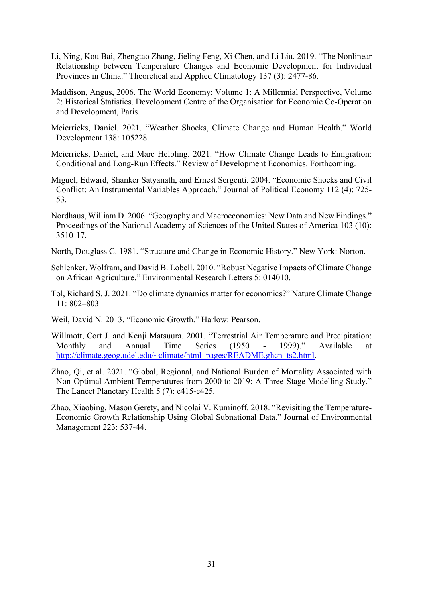- Li, Ning, Kou Bai, Zhengtao Zhang, Jieling Feng, Xi Chen, and Li Liu. 2019. "The Nonlinear Relationship between Temperature Changes and Economic Development for Individual Provinces in China." Theoretical and Applied Climatology 137 (3): 2477-86.
- Maddison, Angus, 2006. The World Economy; Volume 1: A Millennial Perspective, Volume 2: Historical Statistics. Development Centre of the Organisation for Economic Co-Operation and Development, Paris.
- Meierrieks, Daniel. 2021. "Weather Shocks, Climate Change and Human Health." World Development 138: 105228.
- Meierrieks, Daniel, and Marc Helbling. 2021. "How Climate Change Leads to Emigration: Conditional and Long-Run Effects." Review of Development Economics. Forthcoming.
- Miguel, Edward, Shanker Satyanath, and Ernest Sergenti. 2004. "Economic Shocks and Civil Conflict: An Instrumental Variables Approach." Journal of Political Economy 112 (4): 725- 53.
- Nordhaus, William D. 2006. "Geography and Macroeconomics: New Data and New Findings." Proceedings of the National Academy of Sciences of the United States of America 103 (10): 3510-17.
- North, Douglass C. 1981. "Structure and Change in Economic History." New York: Norton.
- Schlenker, Wolfram, and David B. Lobell. 2010. "Robust Negative Impacts of Climate Change on African Agriculture." Environmental Research Letters 5: 014010.
- Tol, Richard S. J. 2021. "Do climate dynamics matter for economics?" Nature Climate Change 11: 802–803
- Weil, David N. 2013. "Economic Growth." Harlow: Pearson.
- Willmott, Cort J. and Kenji Matsuura. 2001. "Terrestrial Air Temperature and Precipitation: Monthly and Annual Time Series (1950 - 1999)." Available at [http://climate.geog.udel.edu/~climate/html\\_pages/README.ghcn\\_ts2.html.](http://climate.geog.udel.edu/%7Eclimate/html_pages/README.ghcn_ts2.html)
- Zhao, Qi, et al. 2021. "Global, Regional, and National Burden of Mortality Associated with Non-Optimal Ambient Temperatures from 2000 to 2019: A Three-Stage Modelling Study." The Lancet Planetary Health 5 (7): e415-e425.
- Zhao, Xiaobing, Mason Gerety, and Nicolai V. Kuminoff. 2018. "Revisiting the Temperature-Economic Growth Relationship Using Global Subnational Data." Journal of Environmental Management 223: 537-44.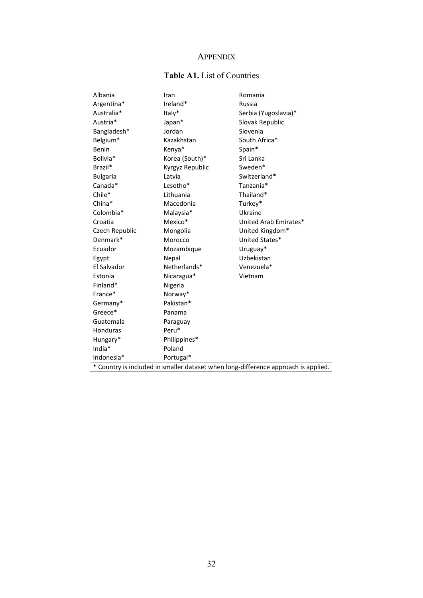## APPENDIX

## **Table A1.** List of Countries

| Albania                                                                            | Iran            | Romania               |  |  |  |  |  |
|------------------------------------------------------------------------------------|-----------------|-----------------------|--|--|--|--|--|
| Argentina*                                                                         | Ireland*        | Russia                |  |  |  |  |  |
| Australia*                                                                         | Italy*          | Serbia (Yugoslavia)*  |  |  |  |  |  |
| Austria*                                                                           | Japan*          | Slovak Republic       |  |  |  |  |  |
| Bangladesh*                                                                        | Jordan          | Slovenia              |  |  |  |  |  |
| Belgium*                                                                           | Kazakhstan      | South Africa*         |  |  |  |  |  |
| Benin                                                                              | Kenya*          | Spain*                |  |  |  |  |  |
| Bolivia*                                                                           | Korea (South)*  | Sri Lanka             |  |  |  |  |  |
| Brazil*                                                                            | Kyrgyz Republic | Sweden*               |  |  |  |  |  |
| <b>Bulgaria</b>                                                                    | Latvia          | Switzerland*          |  |  |  |  |  |
| Canada*                                                                            | Lesotho*        | Tanzania*             |  |  |  |  |  |
| Chile*                                                                             | Lithuania       | Thailand*             |  |  |  |  |  |
| China*                                                                             | Macedonia       | Turkey*               |  |  |  |  |  |
| Colombia*                                                                          | Malaysia*       | Ukraine               |  |  |  |  |  |
| Croatia                                                                            | Mexico*         | United Arab Emirates* |  |  |  |  |  |
| Czech Republic                                                                     | Mongolia        | United Kingdom*       |  |  |  |  |  |
| Denmark*                                                                           | Morocco         | United States*        |  |  |  |  |  |
| Ecuador                                                                            | Mozambique      | Uruguay*              |  |  |  |  |  |
| Egypt                                                                              | Nepal           | Uzbekistan            |  |  |  |  |  |
| El Salvador                                                                        | Netherlands*    | Venezuela*            |  |  |  |  |  |
| Estonia                                                                            | Nicaragua*      | Vietnam               |  |  |  |  |  |
| Finland*                                                                           | Nigeria         |                       |  |  |  |  |  |
| France*                                                                            | Norway*         |                       |  |  |  |  |  |
| Germany*                                                                           | Pakistan*       |                       |  |  |  |  |  |
| Greece*                                                                            | Panama          |                       |  |  |  |  |  |
| Guatemala                                                                          | Paraguay        |                       |  |  |  |  |  |
| Honduras                                                                           | Peru*           |                       |  |  |  |  |  |
| Hungary*                                                                           | Philippines*    |                       |  |  |  |  |  |
| India*                                                                             | Poland          |                       |  |  |  |  |  |
| Indonesia*                                                                         | Portugal*       |                       |  |  |  |  |  |
| * Country is included in smaller dataset when long-difference approach is applied. |                 |                       |  |  |  |  |  |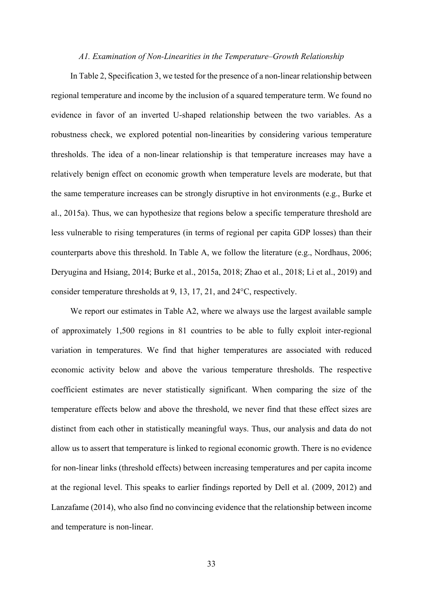#### *A1. Examination of Non-Linearities in the Temperature–Growth Relationship*

In Table 2, Specification 3, we tested for the presence of a non-linear relationship between regional temperature and income by the inclusion of a squared temperature term. We found no evidence in favor of an inverted U-shaped relationship between the two variables. As a robustness check, we explored potential non-linearities by considering various temperature thresholds. The idea of a non-linear relationship is that temperature increases may have a relatively benign effect on economic growth when temperature levels are moderate, but that the same temperature increases can be strongly disruptive in hot environments (e.g., Burke et al., 2015a). Thus, we can hypothesize that regions below a specific temperature threshold are less vulnerable to rising temperatures (in terms of regional per capita GDP losses) than their counterparts above this threshold. In Table A, we follow the literature (e.g., Nordhaus, 2006; Deryugina and Hsiang, 2014; Burke et al., 2015a, 2018; Zhao et al., 2018; Li et al., 2019) and consider temperature thresholds at 9, 13, 17, 21, and 24°C, respectively.

We report our estimates in Table A2, where we always use the largest available sample of approximately 1,500 regions in 81 countries to be able to fully exploit inter-regional variation in temperatures. We find that higher temperatures are associated with reduced economic activity below and above the various temperature thresholds. The respective coefficient estimates are never statistically significant. When comparing the size of the temperature effects below and above the threshold, we never find that these effect sizes are distinct from each other in statistically meaningful ways. Thus, our analysis and data do not allow us to assert that temperature is linked to regional economic growth. There is no evidence for non-linear links (threshold effects) between increasing temperatures and per capita income at the regional level. This speaks to earlier findings reported by Dell et al. (2009, 2012) and Lanzafame (2014), who also find no convincing evidence that the relationship between income and temperature is non-linear.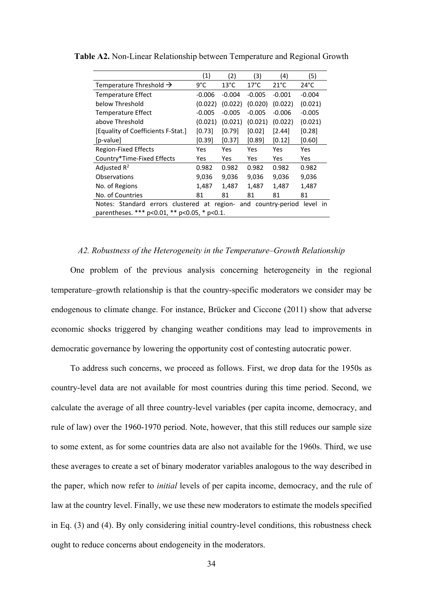| (1)<br>(2)<br>(3)<br>(4)<br>(5)                                                                                                     |                                 |                |                |                |                |  |  |  |  |
|-------------------------------------------------------------------------------------------------------------------------------------|---------------------------------|----------------|----------------|----------------|----------------|--|--|--|--|
| Temperature Threshold $\rightarrow$                                                                                                 | 9°C                             | $13^{\circ}$ C | $17^{\circ}$ C | $21^{\circ}$ C | $24^{\circ}$ C |  |  |  |  |
| <b>Temperature Effect</b>                                                                                                           | $-0.006$                        | $-0.004$       | $-0.005$       | $-0.001$       | $-0.004$       |  |  |  |  |
| below Threshold                                                                                                                     | (0.022)                         | (0.022)        | (0.020)        | (0.022)        | (0.021)        |  |  |  |  |
| Temperature Effect                                                                                                                  | $-0.005$                        | $-0.005$       | $-0.005$       | $-0.006$       | $-0.005$       |  |  |  |  |
| above Threshold                                                                                                                     | (0.021)                         | (0.021)        | (0.021)        | (0.022)        | (0.021)        |  |  |  |  |
| [Equality of Coefficients F-Stat.]                                                                                                  | [0.73]                          | [0.79]         | [0.02]         | $[2.44]$       | [0.28]         |  |  |  |  |
| [p-value]                                                                                                                           | [0.39]                          | [0.37]         | [0.89]         | [0.12]         | [0.60]         |  |  |  |  |
| <b>Region-Fixed Effects</b>                                                                                                         | Yes                             | Yes            | Yes            | Yes            | Yes            |  |  |  |  |
| Country*Time-Fixed Effects                                                                                                          | Yes<br>Yes<br>Yes<br>Yes<br>Yes |                |                |                |                |  |  |  |  |
| Adjusted $R^2$                                                                                                                      | 0.982                           | 0.982          | 0.982          | 0.982          | 0.982          |  |  |  |  |
| Observations                                                                                                                        | 9,036                           | 9,036          | 9,036          | 9,036          | 9,036          |  |  |  |  |
| No. of Regions                                                                                                                      | 1,487                           | 1,487          | 1,487          | 1,487          | 1,487          |  |  |  |  |
| No. of Countries<br>81<br>81<br>81<br>81<br>81                                                                                      |                                 |                |                |                |                |  |  |  |  |
| Notes: Standard errors clustered at region- and country-period<br>level in<br>parentheses. *** $p<0.01$ , ** $p<0.05$ , * $p<0.1$ . |                                 |                |                |                |                |  |  |  |  |

**Table A2.** Non-Linear Relationship between Temperature and Regional Growth

## *A2. Robustness of the Heterogeneity in the Temperature–Growth Relationship*

One problem of the previous analysis concerning heterogeneity in the regional temperature–growth relationship is that the country-specific moderators we consider may be endogenous to climate change. For instance, Brücker and Ciccone (2011) show that adverse economic shocks triggered by changing weather conditions may lead to improvements in democratic governance by lowering the opportunity cost of contesting autocratic power.

To address such concerns, we proceed as follows. First, we drop data for the 1950s as country-level data are not available for most countries during this time period. Second, we calculate the average of all three country-level variables (per capita income, democracy, and rule of law) over the 1960-1970 period. Note, however, that this still reduces our sample size to some extent, as for some countries data are also not available for the 1960s. Third, we use these averages to create a set of binary moderator variables analogous to the way described in the paper, which now refer to *initial* levels of per capita income, democracy, and the rule of law at the country level. Finally, we use these new moderators to estimate the models specified in Eq. (3) and (4). By only considering initial country-level conditions, this robustness check ought to reduce concerns about endogeneity in the moderators.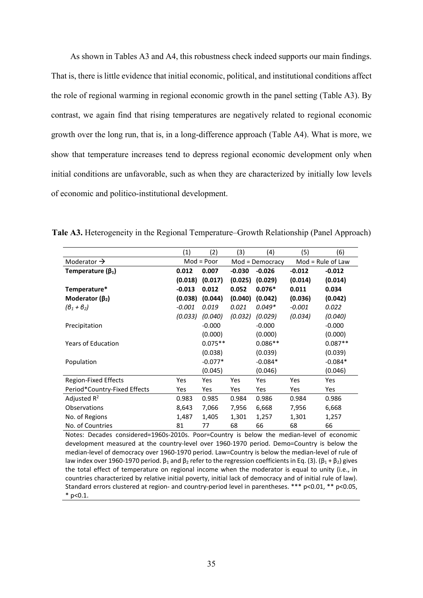As shown in Tables A3 and A4, this robustness check indeed supports our main findings. That is, there is little evidence that initial economic, political, and institutional conditions affect the role of regional warming in regional economic growth in the panel setting (Table A3). By contrast, we again find that rising temperatures are negatively related to regional economic growth over the long run, that is, in a long-difference approach (Table A4). What is more, we show that temperature increases tend to depress regional economic development only when initial conditions are unfavorable, such as when they are characterized by initially low levels of economic and politico-institutional development.

|                              | (1)      | (2)          | (3)      | (4)             | (5)                 | (6)        |
|------------------------------|----------|--------------|----------|-----------------|---------------------|------------|
| Moderator $\rightarrow$      |          | $Mod = Poor$ |          | Mod = Democracy | $Mod = Rule of Law$ |            |
| Temperature ( $\beta_1$ )    | 0.012    | 0.007        | $-0.030$ | $-0.026$        | $-0.012$            | $-0.012$   |
|                              | (0.018)  | (0.017)      | (0.025)  | (0.029)         | (0.014)             | (0.014)    |
| Temperature*                 | $-0.013$ | 0.012        | 0.052    | $0.076*$        | 0.011               | 0.034      |
| Moderator $(\beta_2)$        | (0.038)  | (0.044)      | (0.040)  | (0.042)         | (0.036)             | (0.042)    |
| $(\theta_1 + \theta_2)$      | $-0.001$ | 0.019        | 0.021    | $0.049*$        | $-0.001$            | 0.022      |
|                              | (0.033)  | (0.040)      | (0.032)  | (0.029)         | (0.034)             | (0.040)    |
| Precipitation                |          | $-0.000$     |          | $-0.000$        |                     | $-0.000$   |
|                              |          | (0.000)      |          | (0.000)         |                     | (0.000)    |
| <b>Years of Education</b>    |          | $0.075**$    |          | $0.086**$       |                     | $0.087**$  |
|                              |          | (0.038)      |          | (0.039)         |                     | (0.039)    |
| Population                   |          | $-0.077*$    |          | $-0.084*$       |                     | $-0.084*$  |
|                              |          | (0.045)      |          | (0.046)         |                     | (0.046)    |
| Region-Fixed Effects         | Yes      | Yes          | Yes      | <b>Yes</b>      | Yes                 | <b>Yes</b> |
| Period*Country-Fixed Effects | Yes      | Yes          | Yes      | Yes             | Yes                 | <b>Yes</b> |
| Adjusted $R^2$               | 0.983    | 0.985        | 0.984    | 0.986           | 0.984               | 0.986      |
| <b>Observations</b>          | 8,643    | 7,066        | 7,956    | 6,668           | 7,956               | 6,668      |
| No. of Regions               | 1,487    | 1,405        | 1,301    | 1,257           | 1,301               | 1,257      |
| No. of Countries             | 81       | 77           | 68       | 66              | 68                  | 66         |

**Tale A3.** Heterogeneity in the Regional Temperature–Growth Relationship (Panel Approach)

Notes: Decades considered=1960s-2010s. Poor=Country is below the median-level of economic development measured at the country-level over 1960-1970 period. Demo=Country is below the median-level of democracy over 1960-1970 period. Law=Country is below the median-level of rule of law index over 1960-1970 period.  $β_1$  and  $β_2$  refer to the regression coefficients in Eq. (3). ( $β_1 + β_2$ ) gives the total effect of temperature on regional income when the moderator is equal to unity (i.e., in countries characterized by relative initial poverty, initial lack of democracy and of initial rule of law). Standard errors clustered at region- and country-period level in parentheses. \*\*\* p<0.01, \*\* p<0.05,  $*$  p<0.1.